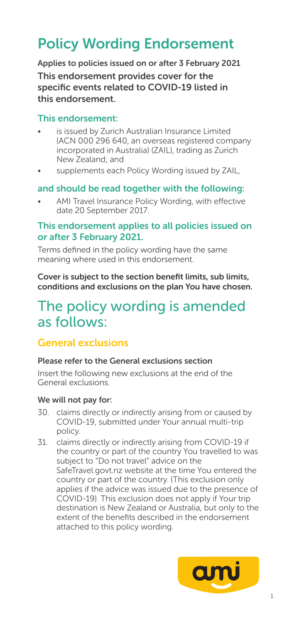## Policy Wording Endorsement

Applies to policies issued on or after 3 February 2021 This endorsement provides cover for the specific events related to COVID-19 listed in this endorsement.

### This endorsement:

- is issued by Zurich Australian Insurance Limited (ACN 000 296 640, an overseas registered company incorporated in Australia) (ZAIL), trading as Zurich New Zealand; and
- supplements each Policy Wording issued by ZAIL,

### and should be read together with the following:

AMI Travel Insurance Policy Wording, with effective date 20 September 2017.

### This endorsement applies to all policies issued on or after 3 February 2021.

Terms defined in the policy wording have the same meaning where used in this endorsement.

Cover is subject to the section benefit limits, sub limits, conditions and exclusions on the plan You have chosen.

## The policy wording is amended as follows:

### General exclusions

### Please refer to the General exclusions section

Insert the following new exclusions at the end of the General exclusions.

### We will not pay for:

- 30. claims directly or indirectly arising from or caused by COVID-19, submitted under Your annual multi-trip policy.
- 31. claims directly or indirectly arising from COVID-19 if the country or part of the country You travelled to was subject to "Do not travel" advice on the SafeTravel.govt.nz website at the time You entered the country or part of the country. (This exclusion only applies if the advice was issued due to the presence of COVID-19). This exclusion does not apply if Your trip destination is New Zealand or Australia, but only to the extent of the benefits described in the endorsement attached to this policy wording.

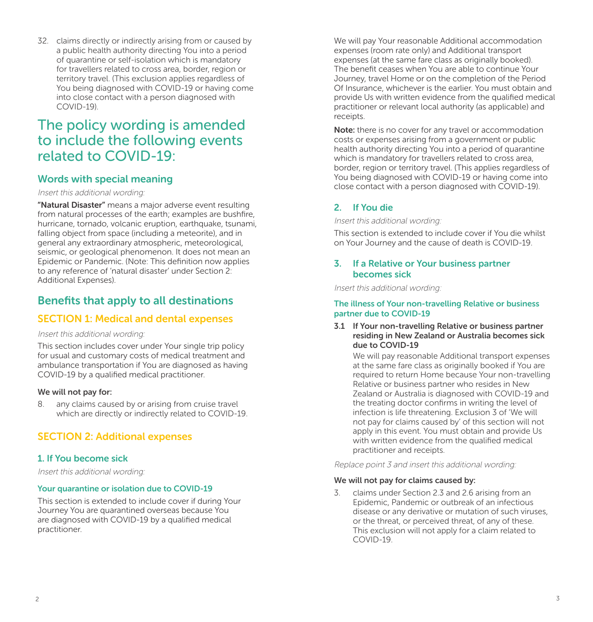32. claims directly or indirectly arising from or caused by a public health authority directing You into a period of quarantine or self-isolation which is mandatory for travellers related to cross area, border, region or territory travel. (This exclusion applies regardless of You being diagnosed with COVID-19 or having come into close contact with a person diagnosed with COVID-19).

## The policy wording is amended to include the following events related to COVID-19:

### Words with special meaning

#### Insert this additional wording:

"Natural Disaster" means a major adverse event resulting from natural processes of the earth; examples are bushfire, hurricane, tornado, volcanic eruption, earthquake, tsunami, falling object from space (including a meteorite), and in general any extraordinary atmospheric, meteorological, seismic, or geological phenomenon. It does not mean an Epidemic or Pandemic. (Note: This definition now applies to any reference of 'natural disaster' under Section 2: Additional Expenses).

### Benefits that apply to all destinations

### SECTION 1: Medical and dental expenses

### Insert this additional wording:

This section includes cover under Your single trip policy for usual and customary costs of medical treatment and ambulance transportation if You are diagnosed as having COVID-19 by a qualified medical practitioner.

### We will not pay for:

8. any claims caused by or arising from cruise travel which are directly or indirectly related to COVID-19.

### SECTION 2: Additional expenses

### 1. If You become sick

Insert this additional wording:

### Your quarantine or isolation due to COVID-19

This section is extended to include cover if during Your Journey You are quarantined overseas because You are diagnosed with COVID-19 by a qualified medical practitioner.

We will pay Your reasonable Additional accommodation expenses (room rate only) and Additional transport expenses (at the same fare class as originally booked). The benefit ceases when You are able to continue Your Journey, travel Home or on the completion of the Period Of Insurance, whichever is the earlier. You must obtain and provide Us with written evidence from the qualified medical practitioner or relevant local authority (as applicable) and receipts.

Note: there is no cover for any travel or accommodation costs or expenses arising from a government or public health authority directing You into a period of quarantine which is mandatory for travellers related to cross area, border, region or territory travel. (This applies regardless of You being diagnosed with COVID-19 or having come into close contact with a person diagnosed with COVID-19).

### 2. If You die

Insert this additional wording:

This section is extended to include cover if You die whilst on Your Journey and the cause of death is COVID-19.

### 3. If a Relative or Your business partner becomes sick

Insert this additional wording:

### The illness of Your non-travelling Relative or business partner due to COVID-19

#### 3.1 If Your non-travelling Relative or business partner residing in New Zealand or Australia becomes sick due to COVID-19

We will pay reasonable Additional transport expenses at the same fare class as originally booked if You are required to return Home because Your non-travelling Relative or business partner who resides in New Zealand or Australia is diagnosed with COVID-19 and the treating doctor confirms in writing the level of infection is life threatening. Exclusion 3 of 'We will not pay for claims caused by' of this section will not apply in this event. You must obtain and provide Us with written evidence from the qualified medical practitioner and receipts.

Replace point 3 and insert this additional wording:

### We will not pay for claims caused by:

3. claims under Section 2.3 and 2.6 arising from an Epidemic, Pandemic or outbreak of an infectious disease or any derivative or mutation of such viruses, or the threat, or perceived threat, of any of these. This exclusion will not apply for a claim related to COVID-19.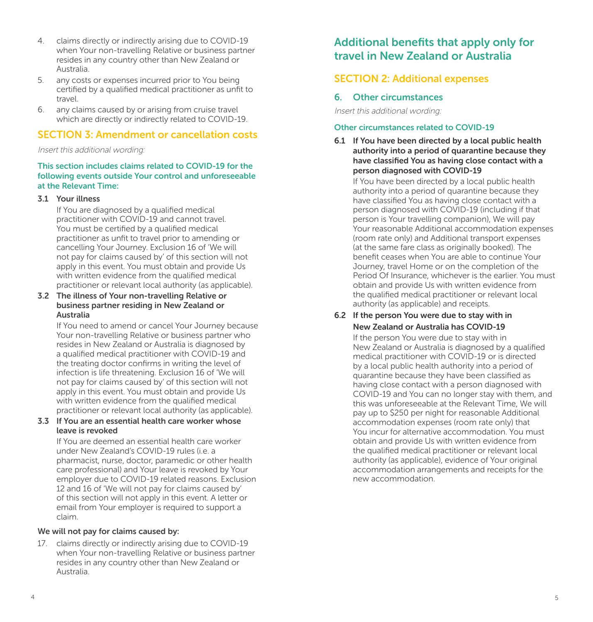- 4. claims directly or indirectly arising due to COVID-19 when Your non-travelling Relative or business partner resides in any country other than New Zealand or Australia.
- 5. any costs or expenses incurred prior to You being certified by a qualified medical practitioner as unfit to travel.
- 6. any claims caused by or arising from cruise travel which are directly or indirectly related to COVID-19.

### SECTION 3: Amendment or cancellation costs

Insert this additional wording:

### This section includes claims related to COVID-19 for the following events outside Your control and unforeseeable at the Relevant Time:

### 3.1 Your illness

If You are diagnosed by a qualified medical practitioner with COVID-19 and cannot travel. You must be certified by a qualified medical practitioner as unfit to travel prior to amending or cancelling Your Journey. Exclusion 16 of 'We will not pay for claims caused by' of this section will not apply in this event. You must obtain and provide Us with written evidence from the qualified medical practitioner or relevant local authority (as applicable).

### 3.2 The illness of Your non-travelling Relative or business partner residing in New Zealand or Australia

If You need to amend or cancel Your Journey because Your non-travelling Relative or business partner who resides in New Zealand or Australia is diagnosed by a qualified medical practitioner with COVID-19 and the treating doctor confirms in writing the level of infection is life threatening. Exclusion 16 of 'We will not pay for claims caused by' of this section will not apply in this event. You must obtain and provide Us with written evidence from the qualified medical practitioner or relevant local authority (as applicable).

### 3.3 If You are an essential health care worker whose leave is revoked

If You are deemed an essential health care worker under New Zealand's COVID-19 rules (i.e. a. pharmacist, nurse, doctor, paramedic or other health care professional) and Your leave is revoked by Your employer due to COVID-19 related reasons. Exclusion 12 and 16 of 'We will not pay for claims caused by' of this section will not apply in this event. A letter or email from Your employer is required to support a claim.

### We will not pay for claims caused by:

17. claims directly or indirectly arising due to COVID-19 when Your non-travelling Relative or business partner resides in any country other than New Zealand or Australia.

## Additional benefits that apply only for travel in New Zealand or Australia

### SECTION 2: Additional expenses

### 6. Other circumstances

Insert this additional wording:

### Other circumstances related to COVID-19

6.1 If You have been directed by a local public health authority into a period of quarantine because they have classified You as having close contact with a person diagnosed with COVID-19

If You have been directed by a local public health authority into a period of quarantine because they have classified You as having close contact with a person diagnosed with COVID-19 (including if that person is Your travelling companion), We will pay Your reasonable Additional accommodation expenses (room rate only) and Additional transport expenses (at the same fare class as originally booked). The benefit ceases when You are able to continue Your Journey, travel Home or on the completion of the Period Of Insurance, whichever is the earlier. You must obtain and provide Us with written evidence from the qualified medical practitioner or relevant local authority (as applicable) and receipts.

### 6.2 If the person You were due to stay with in New Zealand or Australia has COVID-19

If the person You were due to stay with in New Zealand or Australia is diagnosed by a qualified medical practitioner with COVID-19 or is directed by a local public health authority into a period of quarantine because they have been classified as having close contact with a person diagnosed with COVID-19 and You can no longer stay with them, and this was unforeseeable at the Relevant Time, We will pay up to \$250 per night for reasonable Additional accommodation expenses (room rate only) that You incur for alternative accommodation. You must obtain and provide Us with written evidence from the qualified medical practitioner or relevant local authority (as applicable), evidence of Your original accommodation arrangements and receipts for the new accommodation.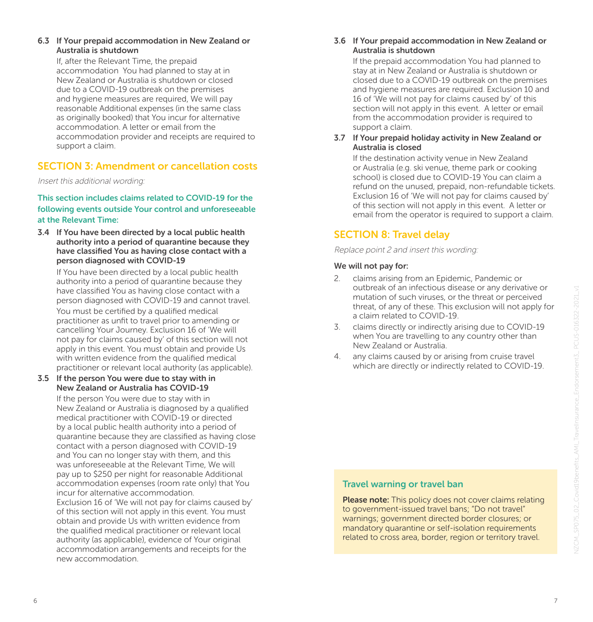If, after the Relevant Time, the prepaid accommodation You had planned to stay at in New Zealand or Australia is shutdown or closed due to a COVID-19 outbreak on the premises and hygiene measures are required, We will pay reasonable Additional expenses (in the same class as originally booked) that You incur for alternative accommodation. A letter or email from the accommodation provider and receipts are required to support a claim.

### SECTION 3: Amendment or cancellation costs

Insert this additional wording:

### This section includes claims related to COVID-19 for the following events outside Your control and unforeseeable at the Relevant Time:

3.4 If You have been directed by a local public health authority into a period of quarantine because they have classified You as having close contact with a person diagnosed with COVID-19

If You have been directed by a local public health authority into a period of quarantine because they have classified You as having close contact with a person diagnosed with COVID-19 and cannot travel. You must be certified by a qualified medical practitioner as unfit to travel prior to amending or cancelling Your Journey. Exclusion 16 of 'We will not pay for claims caused by' of this section will not apply in this event. You must obtain and provide Us with written evidence from the qualified medical practitioner or relevant local authority (as applicable).

### 3.5 If the person You were due to stay with in New Zealand or Australia has COVID-19

If the person You were due to stay with in New Zealand or Australia is diagnosed by a qualified medical practitioner with COVID-19 or directed by a local public health authority into a period of quarantine because they are classified as having close contact with a person diagnosed with COVID-19 and You can no longer stay with them, and this was unforeseeable at the Relevant Time, We will pay up to \$250 per night for reasonable Additional accommodation expenses (room rate only) that You incur for alternative accommodation. Exclusion 16 of 'We will not pay for claims caused by' of this section will not apply in this event. You must obtain and provide Us with written evidence from the qualified medical practitioner or relevant local authority (as applicable), evidence of Your original accommodation arrangements and receipts for the new accommodation.

### 3.6 If Your prepaid accommodation in New Zealand or Australia is shutdown

If the prepaid accommodation You had planned to stay at in New Zealand or Australia is shutdown or closed due to a COVID-19 outbreak on the premises and hygiene measures are required. Exclusion 10 and 16 of 'We will not pay for claims caused by' of this section will not apply in this event. A letter or email from the accommodation provider is required to support a claim.

### 3.7 If Your prepaid holiday activity in New Zealand or Australia is closed

If the destination activity venue in New Zealand or Australia (e.g. ski venue, theme park or cooking school) is closed due to COVID-19 You can claim a refund on the unused, prepaid, non-refundable tickets. Exclusion 16 of 'We will not pay for claims caused by' of this section will not apply in this event. A letter or email from the operator is required to support a claim.

## SECTION 8: Travel delay

Replace point 2 and insert this wording:

### We will not pay for:

- 2. claims arising from an Epidemic, Pandemic or outbreak of an infectious disease or any derivative or mutation of such viruses, or the threat or perceived threat, of any of these. This exclusion will not apply for a claim related to COVID-19.
- 3. claims directly or indirectly arising due to COVID-19 when You are travelling to any country other than New Zealand or Australia.
- 4. any claims caused by or arising from cruise travel which are directly or indirectly related to COVID-19.

### Travel warning or travel ban

Please note: This policy does not cover claims relating to government-issued travel bans; "Do not travel" warnings; government directed border closures; or mandatory quarantine or self-isolation requirements related to cross area, border, region or territory travel.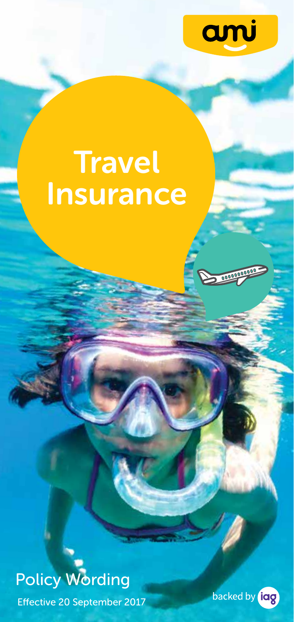

# **Travel** Insurance



Effective 20 September 2017

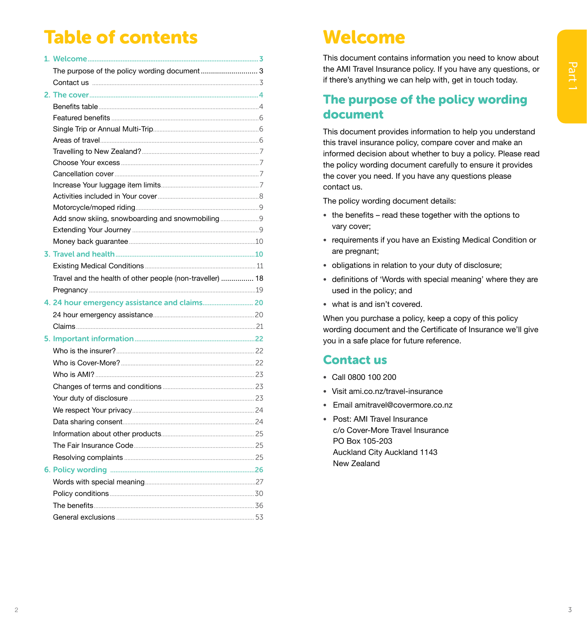## **Table of contents**

| The purpose of the policy wording document 3              |  |
|-----------------------------------------------------------|--|
|                                                           |  |
|                                                           |  |
| <b>Benefits table</b>                                     |  |
|                                                           |  |
|                                                           |  |
|                                                           |  |
|                                                           |  |
|                                                           |  |
|                                                           |  |
|                                                           |  |
|                                                           |  |
|                                                           |  |
| Add snow skiing, snowboarding and snowmobiling 9          |  |
|                                                           |  |
|                                                           |  |
|                                                           |  |
|                                                           |  |
| Travel and the health of other people (non-traveller)  18 |  |
|                                                           |  |
|                                                           |  |
|                                                           |  |
|                                                           |  |
|                                                           |  |
|                                                           |  |
|                                                           |  |
|                                                           |  |
|                                                           |  |
|                                                           |  |
|                                                           |  |
|                                                           |  |
|                                                           |  |
|                                                           |  |
|                                                           |  |
|                                                           |  |
|                                                           |  |
|                                                           |  |
|                                                           |  |
|                                                           |  |

## Welcome

This document contains information you need to know about the AMI Travel Insurance policy. If you have any questions, or if there's anything we can help with, get in touch today.

## The purpose of the policy wording document

This document provides information to help you understand this travel insurance policy, compare cover and make an informed decision about whether to buy a policy. Please read the policy wording document carefully to ensure it provides the cover you need. If you have any questions please contact us.

The policy wording document details:

- the benefits read these together with the options to vary cover;
- requirements if you have an Existing Medical Condition or are pregnant;
- obligations in relation to your duty of disclosure;
- definitions of 'Words with special meaning' where they are used in the policy; and
- what is and isn't covered.

When you purchase a policy, keep a copy of this policy wording document and the Certificate of Insurance we'll give you in a safe place for future reference.

## **Contact us**

- Call 0800 100 200
- · Visit ami.co.nz/travel-insurance
- · Email amitravel@covermore.co.nz
- Post: AMI Travel Insurance c/o Cover-More Travel Insurance PO Box 105-203 Auckland City Auckland 1143 New Zealand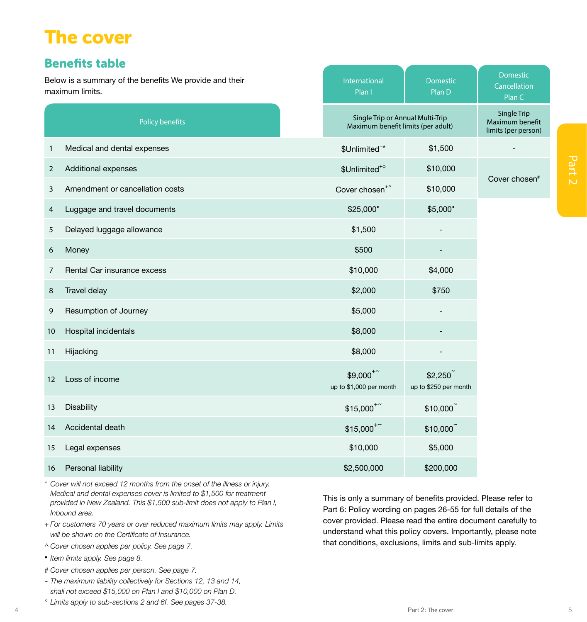## <span id="page-6-0"></span>The cover

## Benefits table

2 Additional experience<br>
3 American experiments<br>
4 Lagrange and Venetation Costs<br>
4 Lagrange and Venetation Costs<br>
5 Discover 3: The cover 5Part 2: The cover 5Part 2: The cover 5Part 2: The cover 5Part 2: The cover 5Part International Plan I Domestic Plan D Domestic Cancellation Plan C Policy benefits Single Trip or Annual Multi-Trip Maximum benefit limits (per adult) Single Trip Maximum benefit limits (per person) 1 Medical and dental expenses  $\sim$  1 Medical and dental expenses  $\sim$  1 Medical and dental expenses  $$1,500$ 2 Additional expenses  $\sim$  2 Additional expenses  $\sim$  2 Additional expenses  $\sim$  3 Unlimited<sup>+6</sup> ° \$10,000 Cover chosen# 3 Amendment or cancellation costs Cover chosen<sup>+^</sup> \$10,000 4 Luggage and travel documents  $$25,000"$  \$5,000° \$5,000° 5 Delayed luggage allowance  $$1,500$ 6 Money \$500 - 7 Rental Car insurance excess \$10,000 \$4,000 8 Travel delay \$2,000 \$750 a Resumption of Journey and the set of the set of the set of the set of the set of the set of the set of the set of the set of the set of the set of the set of the set of the set of the set of the set of the set of the set 10 Hospital incidentals **\$8,000** - the state of the state of the state of the state of the state of the state of the state of the state of the state of the state of the state of the state of the state of the state of the s 11 Hijacking the state of the state of the state of the state of the state of the state of the state of the st 12 Loss of income  $$9,000<sup>+</sup>$ up to \$1,000 per month \$2,250<sup>~</sup> up to \$250 per month 13 Disability  $$15,000+{^+}$  \$10,000 $$10,000$ 14 Accidental death  $$15,000+{^*}$$  \$10,000 $$10,000$ 15 Legal expenses  $$10,000$   $$5,000$ 16 Personal liability **\$2,500,000** \$200,000 \$200,000 \$200,000 \$200,000 \$200,000 \$200,000 \$200,000 \$200,000 \$200,000 \$200,000 \$200,000 \$200,000 \$200,000 \$200,000 \$200,000 \$200,000 \$200,000 \$200,000 \$200,000 \$200,000 \$200,00 Below is a summary of the benefits We provide and their maximum limits.

*\* Cover will not exceed 12 months from the onset of the illness or injury. Medical and dental expenses cover is limited to \$1,500 for treatment provided in New Zealand. This \$1,500 sub-limit does not apply to Plan I, Inbound area.*

*+ For customers 70 years or over reduced maximum limits may apply. Limits will be shown on the Certificate of Insurance.*

- *^ Cover chosen applies per policy. See page 7.*
- *• Item limits apply. See page 8.*
- *# Cover chosen applies per person. See page 7.*
- *~ The maximum liability collectively for Sections 12, 13 and 14, shall not exceed \$15,000 on Plan I and \$10,000 on Plan D.*
- *° Limits apply to sub-sections 2 and 6f. See pages 37-38.*

This is only a summary of benefits provided. Please refer to Part 6: Policy wording on pages 26-55 for full details of the cover provided. Please read the entire document carefully to understand what this policy covers. Importantly, please note that conditions, exclusions, limits and sub-limits apply.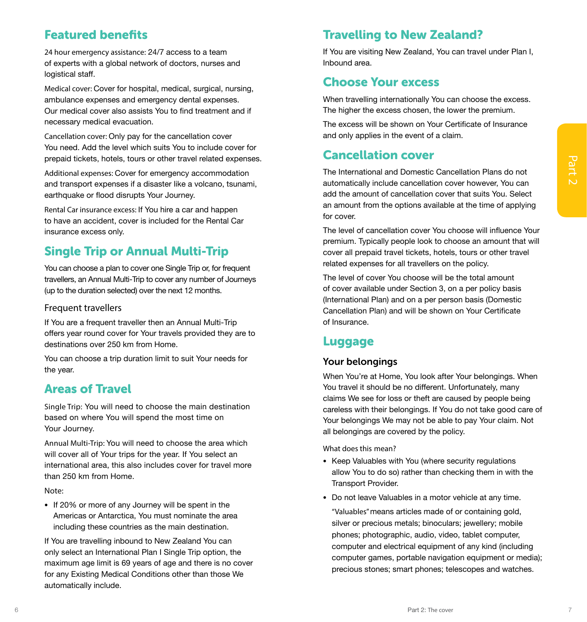## Featured benefits

24 hour emergency assistance: 24/7 access to a team of experts with a global network of doctors, nurses and logistical staff.

Medical cover: Cover for hospital, medical, surgical, nursing, ambulance expenses and emergency dental expenses. Our medical cover also assists You to find treatment and if necessary medical evacuation .

Cancellation cover: Only pay for the cancellation cover You need . Add the level which suits You to include cover for prepaid tickets, hotels, tours or other travel related expenses .

Additional expenses: Cover for emergency accommodation and transport expenses if a disaster like a volcano, tsunami, earthquake or flood disrupts Your Journey .

Rental Car insurance excess: If You hire a car and happen to have an accident, cover is included for the Rental Car insurance excess only .

## Single Trip or Annual Multi-Trip

You can choose a plan to cover one Single Trip or, for frequent travellers, an Annual Multi-Trip to cover any number of Journeys (up to the duration selected) over the next 12 months .

### Frequent travellers

If You are a frequent traveller then an Annual Multi-Trip offers year round cover for Your travels provided they are to destinations over 250 km from Home .

You can choose a trip duration limit to suit Your needs for the year.

## Areas of Travel

Single Trip: You will need to choose the main destination based on where You will spend the most time on Your Journey .

Annual Multi-Trip: You will need to choose the area which will cover all of Your trips for the year . If You select an international area, this also includes cover for travel more than 250 km from Home .

### Note:

• If 20% or more of any Journey will be spent in the Americas or Antarctica, You must nominate the area including these countries as the main destination .

If You are travelling inbound to New Zealand You can only select an International Plan I Single Trip option, the maximum age limit is 69 years of age and there is no cover for any Existing Medical Conditions other than those We automatically include .

## Travelling to New Zealand?

If You are visiting New Zealand, You can travel under Plan I, Inbound area .

## Choose Your excess

When travelling internationally You can choose the excess . The higher the excess chosen, the lower the premium.

The excess will be shown on Your Certificate of Insurance and only applies in the event of a claim .

## Cancellation cover

The International and Domestic Cancellation Plans do not automatically include cancellation cover however, You can add the amount of cancellation cover that suits You . Select an amount from the options available at the time of applying for cover.

The level of cancellation cover You choose will influence Your premium . Typically people look to choose an amount that will cover all prepaid travel tickets, hotels, tours or other travel related expenses for all travellers on the policy .

The level of cover You choose will be the total amount of cover available under Section 3, on a per policy basis (International Plan) and on a per person basis (Domestic Cancellation Plan) and will be shown on Your Certificate of Insurance .

## Luggage

### Your belongings

When You're at Home, You look after Your belongings. When You travel it should be no different. Unfortunately, many claims We see for loss or theft are caused by people being careless with their belongings. If You do not take good care of Your belongings We may not be able to pay Your claim. Not all belongings are covered by the policy.

What does this mean?

- Keep Valuables with You (where security regulations allow You to do so) rather than checking them in with the Transport Provider.
- Do not leave Valuables in a motor vehicle at any time .

"Valuables"means articles made of or containing gold, silver or precious metals; binoculars; jewellery; mobile phones; photographic, audio, video, tablet computer, computer and electrical equipment of any kind (including computer games, portable navigation equipment or media); precious stones; smart phones; telescopes and watches .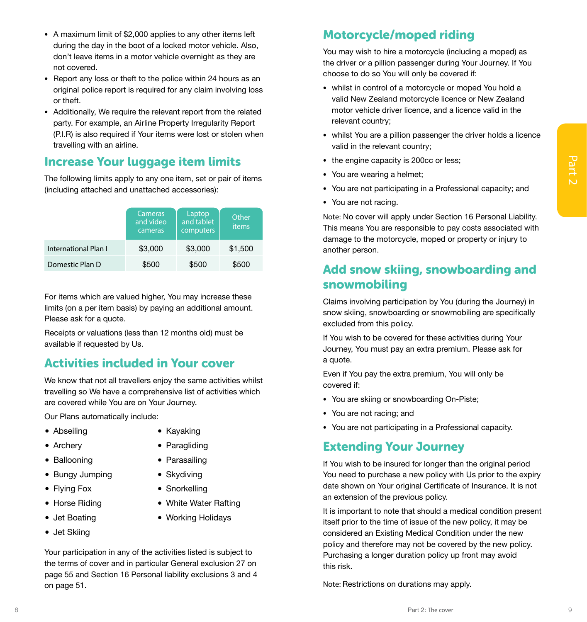- A maximum limit of \$2,000 applies to any other items left during the day in the boot of a locked motor vehicle. Also, don't leave items in a motor vehicle overnight as they are not covered.
- Report any loss or theft to the police within 24 hours as an original police report is required for any claim involving loss or theft.
- Additionally, We require the relevant report from the related party. For example, an Airline Property Irregularity Report (P.I.R) is also required if Your items were lost or stolen when travelling with an airline.

## Increase Your luggage item limits

| <b>Increase Your luggage item limits</b><br>The following limits apply to any one item, set or pair of items<br>(including attached and unattached accessories):                                                                                                                                                          |                                                   |                                              |                                                                                                                                    | • the engine capacity is 200cc or less;                                                                                                                                                   |
|---------------------------------------------------------------------------------------------------------------------------------------------------------------------------------------------------------------------------------------------------------------------------------------------------------------------------|---------------------------------------------------|----------------------------------------------|------------------------------------------------------------------------------------------------------------------------------------|-------------------------------------------------------------------------------------------------------------------------------------------------------------------------------------------|
|                                                                                                                                                                                                                                                                                                                           |                                                   |                                              |                                                                                                                                    | • You are wearing a helmet;                                                                                                                                                               |
|                                                                                                                                                                                                                                                                                                                           |                                                   |                                              |                                                                                                                                    | • You are not participating in a Professional capacity; and                                                                                                                               |
|                                                                                                                                                                                                                                                                                                                           |                                                   |                                              |                                                                                                                                    | • You are not racing.                                                                                                                                                                     |
| International Plan I                                                                                                                                                                                                                                                                                                      | <b>Cameras</b><br>and video<br>cameras<br>\$3,000 | Laptop<br>and tablet<br>computers<br>\$3,000 | Other<br>items<br>\$1,500                                                                                                          | Note: No cover will apply under Section 16 Personal Liability.<br>This means You are responsible to pay costs associated with<br>damage to the motorcycle, moped or property or injury to |
|                                                                                                                                                                                                                                                                                                                           |                                                   |                                              |                                                                                                                                    | another person.                                                                                                                                                                           |
| Domestic Plan D                                                                                                                                                                                                                                                                                                           | \$500                                             | \$500                                        | \$500                                                                                                                              | Add snow skiing, snowboarding and                                                                                                                                                         |
|                                                                                                                                                                                                                                                                                                                           |                                                   |                                              |                                                                                                                                    | snowmobiling                                                                                                                                                                              |
| For items which are valued higher, You may increase these<br>limits (on a per item basis) by paying an additional amount.<br>Please ask for a quote.                                                                                                                                                                      |                                                   |                                              |                                                                                                                                    | Claims involving participation by You (during the Journey) in<br>snow skiing, snowboarding or snowmobiling are specifically<br>excluded from this policy.                                 |
| Receipts or valuations (less than 12 months old) must be<br>available if requested by Us.<br><b>Activities included in Your cover</b><br>We know that not all travellers enjoy the same activities whilst<br>travelling so We have a comprehensive list of activities which<br>are covered while You are on Your Journey. |                                                   |                                              |                                                                                                                                    | If You wish to be covered for these activities during Your<br>Journey, You must pay an extra premium. Please ask for<br>a quote.                                                          |
|                                                                                                                                                                                                                                                                                                                           |                                                   |                                              |                                                                                                                                    | Even if You pay the extra premium, You will only be<br>covered if:                                                                                                                        |
|                                                                                                                                                                                                                                                                                                                           |                                                   |                                              |                                                                                                                                    | • You are skiing or snowboarding On-Piste;                                                                                                                                                |
| Our Plans automatically include:<br>• Abseiling<br>• Kayaking                                                                                                                                                                                                                                                             |                                                   |                                              | • You are not racing; and                                                                                                          |                                                                                                                                                                                           |
|                                                                                                                                                                                                                                                                                                                           |                                                   |                                              | • You are not participating in a Professional capacity.                                                                            |                                                                                                                                                                                           |
| • Archery                                                                                                                                                                                                                                                                                                                 |                                                   | • Paragliding                                |                                                                                                                                    | <b>Extending Your Journey</b>                                                                                                                                                             |
| • Ballooning                                                                                                                                                                                                                                                                                                              |                                                   | • Parasailing                                |                                                                                                                                    | If You wish to be insured for longer than the original period                                                                                                                             |
| • Bungy Jumping                                                                                                                                                                                                                                                                                                           |                                                   | • Skydiving                                  |                                                                                                                                    | You need to purchase a new policy with Us prior to the expiry<br>date shown on Your original Certificate of Insurance. It is not                                                          |
| • Flying Fox                                                                                                                                                                                                                                                                                                              |                                                   | • Snorkelling                                |                                                                                                                                    |                                                                                                                                                                                           |
| • Horse Riding                                                                                                                                                                                                                                                                                                            |                                                   | • White Water Rafting                        |                                                                                                                                    | an extension of the previous policy.                                                                                                                                                      |
| • Jet Boating                                                                                                                                                                                                                                                                                                             |                                                   | • Working Holidays                           |                                                                                                                                    | It is important to note that should a medical condition present<br>itself prior to the time of issue of the new policy, it may be                                                         |
| • Jet Skiing                                                                                                                                                                                                                                                                                                              |                                                   |                                              |                                                                                                                                    | considered an Existing Medical Condition under the new                                                                                                                                    |
| Your participation in any of the activities listed is subject to<br>the terms of cover and in particular General exclusion 27 on<br>page 55 and Section 16 Personal liability exclusions 3 and 4<br>on page 51.                                                                                                           |                                                   |                                              | policy and therefore may not be covered by the new policy.<br>Purchasing a longer duration policy up front may avoid<br>this risk. |                                                                                                                                                                                           |
|                                                                                                                                                                                                                                                                                                                           |                                                   |                                              | Note: Restrictions on durations may apply.                                                                                         |                                                                                                                                                                                           |
|                                                                                                                                                                                                                                                                                                                           |                                                   |                                              |                                                                                                                                    |                                                                                                                                                                                           |
|                                                                                                                                                                                                                                                                                                                           |                                                   |                                              |                                                                                                                                    | Part 2: The cover                                                                                                                                                                         |

## Activities included in Your cover

- **•** Abseiling
- **•** Archery
- **•** Ballooning
- **•** Bungy Jumping
- **•** Flying Fox
- **•** Horse Riding
- **•** Jet Boating
- **•** Jet Skiing
- **•** Kayaking
	- **•** Paragliding
	- **•** Parasailing
- **•** Skydiving
	- **•** Snorkelling
- **•** White Water Rafting
- **•** Working Holidays

## Motorcycle/moped riding

You may wish to hire a motorcycle (including a moped) as the driver or a pillion passenger during Your Journey. If You choose to do so You will only be covered if:

- whilst in control of a motorcycle or moped You hold a valid New Zealand motorcycle licence or New Zealand motor vehicle driver licence, and a licence valid in the relevant country;
- whilst You are a pillion passenger the driver holds a licence valid in the relevant country;
- the engine capacity is 200cc or less;
- You are wearing a helmet;
- You are not participating in a Professional capacity; and
- You are not racing.

## Add snow skiing, snowboarding and snowmobiling

- You are skiing or snowboarding On-Piste;
- You are not racing; and
- You are not participating in a Professional capacity.

### Extending Your Journey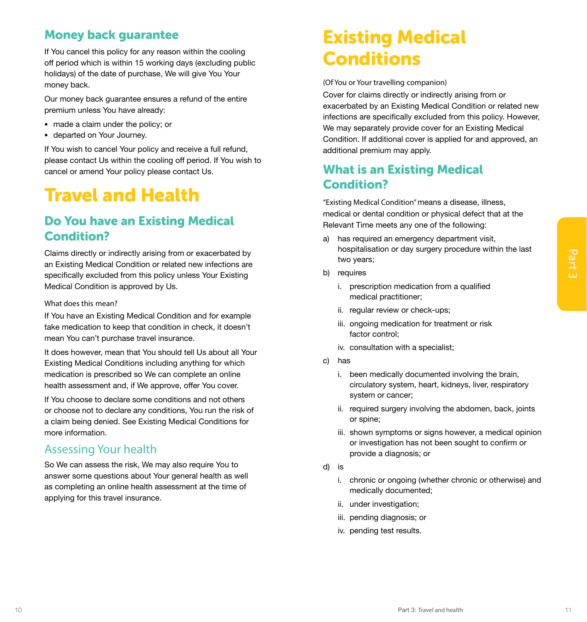## Money back guarantee

If You cancel this policy for any reason within the cooling off period which is within 15 working days (excluding public holidays) of the date of purchase, We will give You Your money back.

Our money back guarantee ensures a refund of the entire premium unless You have already:

- made a claim under the policy; or
- departed on Your Journey.

If You wish to cancel Your policy and receive a full refund, please contact Us within the cooling off period. If You wish to cancel or amend Your policy please contact Us.

## Travel and Health

## Do You have an Existing Medical Condition?

Claims directly or indirectly arising from or exacerbated by an Existing Medical Condition or related new infections are specifically excluded from this policy unless Your Existing Medical Condition is approved by Us.

#### What does this mean?

If You have an Existing Medical Condition and for example take medication to keep that condition in check, it doesn't mean You can't purchase travel insurance.

Claim directly principal from the material of the principal of the principal of the particle by exclusive to the state of the state of the state of the state of the state of the state of the state of the state of the state It does however, mean that You should tell Us about all Your Existing Medical Conditions including anything for which medication is prescribed so We can complete an online health assessment and, if We approve, offer You cover.

If You choose to declare some conditions and not others or choose not to declare any conditions, You run the risk of a claim being denied. See Existing Medical Conditions for more information.

### Assessing Your health

So We can assess the risk, We may also require You to answer some questions about Your general health as well as completing an online health assessment at the time of applying for this travel insurance.

## Existing Medical **Conditions**

(Of You or Your travelling companion)

Cover for claims directly or indirectly arising from or exacerbated by an Existing Medical Condition or related new infections are specifically excluded from this policy. However, We may separately provide cover for an Existing Medical Condition. If additional cover is applied for and approved, an additional premium may apply.

## What is an Existing Medical Condition?

"Existing Medical Condition" means a disease, illness, medical or dental condition or physical defect that at the Relevant Time meets any one of the following:

- a) has required an emergency department visit, hospitalisation or day surgery procedure within the last two years;
- b) requires
	- i. prescription medication from a qualified medical practitioner;
	- ii. regular review or check-ups;
	- iii. ongoing medication for treatment or risk factor control;
	- iv. consultation with a specialist;
- c) has
	- i. been medically documented involving the brain, circulatory system, heart, kidneys, liver, respiratory system or cancer;
	- ii. required surgery involving the abdomen, back, joints or spine;
	- iii. shown symptoms or signs however, a medical opinion or investigation has not been sought to confirm or provide a diagnosis; or
- d) is
	- i. chronic or ongoing (whether chronic or otherwise) and medically documented;
	- ii. under investigation;
	- iii. pending diagnosis; or
	- iv. pending test results.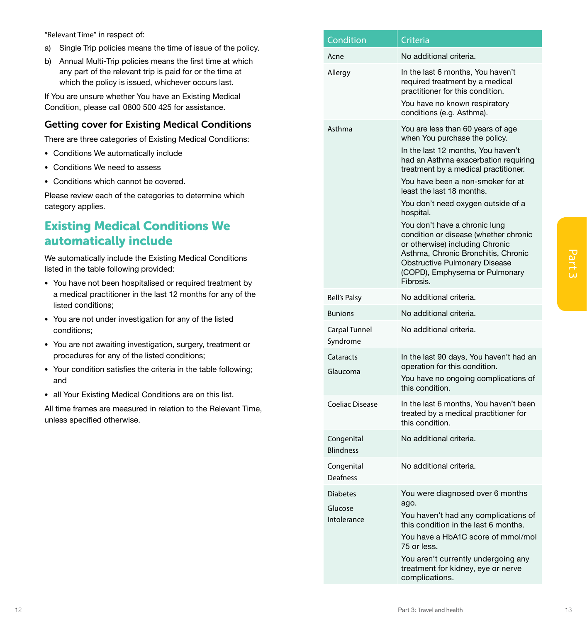- a) Single Trip policies means the time of issue of the policy.
- b) Annual Multi-Trip policies means the first time at which any part of the relevant trip is paid for or the time at which the policy is issued, whichever occurs last.

### Getting cover for Existing Medical Conditions

- Conditions We automatically include
- Conditions We need to assess
- Conditions which cannot be covered.

## Existing Medical Conditions We automatically include

- You have not been hospitalised or required treatment by a medical practitioner in the last 12 months for any of the listed conditions;
- You are not under investigation for any of the listed conditions;
- You are not awaiting investigation, surgery, treatment or procedures for any of the listed conditions;
- Your condition satisfies the criteria in the table following; and
- all Your Existing Medical Conditions are on this list.

<span id="page-10-0"></span>

| "Relevant Time" in respect of:                                                                                                                                                   | Condition                      | Criteria                                                                                                                                         |
|----------------------------------------------------------------------------------------------------------------------------------------------------------------------------------|--------------------------------|--------------------------------------------------------------------------------------------------------------------------------------------------|
| Single Trip policies means the time of issue of the policy.<br>a)                                                                                                                |                                |                                                                                                                                                  |
| Annual Multi-Trip policies means the first time at which<br>b)<br>any part of the relevant trip is paid for or the time at<br>which the policy is issued, whichever occurs last. | Acne<br>Allergy                | No additional criteria.<br>In the last 6 months, You haven't<br>required treatment by a medical                                                  |
| If You are unsure whether You have an Existing Medical<br>Condition, please call 0800 500 425 for assistance.                                                                    |                                | practitioner for this condition.<br>You have no known respiratory<br>conditions (e.g. Asthma).                                                   |
| <b>Getting cover for Existing Medical Conditions</b>                                                                                                                             | Asthma                         | You are less than 60 years of age                                                                                                                |
| There are three categories of Existing Medical Conditions:                                                                                                                       |                                | when You purchase the policy.                                                                                                                    |
| • Conditions We automatically include                                                                                                                                            |                                | In the last 12 months, You haven't<br>had an Asthma exacerbation requiring                                                                       |
| • Conditions We need to assess                                                                                                                                                   |                                | treatment by a medical practitioner.                                                                                                             |
| • Conditions which cannot be covered.                                                                                                                                            |                                | You have been a non-smoker for at                                                                                                                |
| Please review each of the categories to determine which<br>category applies.                                                                                                     |                                | least the last 18 months.<br>You don't need oxygen outside of a<br>hospital.                                                                     |
| <b>Existing Medical Conditions We</b>                                                                                                                                            |                                | You don't have a chronic lung                                                                                                                    |
| automatically include                                                                                                                                                            |                                | condition or disease (whether chronic                                                                                                            |
| We automatically include the Existing Medical Conditions<br>listed in the table following provided:                                                                              |                                | or otherwise) including Chronic<br>Asthma, Chronic Bronchitis, Chronic<br><b>Obstructive Pulmonary Disease</b><br>(COPD), Emphysema or Pulmonary |
| • You have not been hospitalised or required treatment by<br>a medical practitioner in the last 12 months for any of the                                                         | <b>Bell's Palsy</b>            | Fibrosis.<br>No additional criteria.                                                                                                             |
| listed conditions;                                                                                                                                                               | <b>Bunions</b>                 | No additional criteria.                                                                                                                          |
| • You are not under investigation for any of the listed<br>conditions;                                                                                                           | Carpal Tunnel                  | No additional criteria.                                                                                                                          |
| • You are not awaiting investigation, surgery, treatment or                                                                                                                      | Syndrome                       |                                                                                                                                                  |
| procedures for any of the listed conditions;<br>• Your condition satisfies the criteria in the table following;<br>and                                                           | Cataracts<br>Glaucoma          | In the last 90 days, You haven't had an<br>operation for this condition.<br>You have no ongoing complications of                                 |
|                                                                                                                                                                                  |                                | this condition.                                                                                                                                  |
| • all Your Existing Medical Conditions are on this list.<br>All time frames are measured in relation to the Relevant Time,<br>unless specified otherwise.                        | <b>Coeliac Disease</b>         | In the last 6 months, You haven't been<br>treated by a medical practitioner for<br>this condition.                                               |
|                                                                                                                                                                                  | Congenital<br><b>Blindness</b> | No additional criteria.                                                                                                                          |
|                                                                                                                                                                                  | Congenital<br>Deafness         | No additional criteria.                                                                                                                          |
|                                                                                                                                                                                  | <b>Diabetes</b>                | You were diagnosed over 6 months<br>ago.                                                                                                         |
|                                                                                                                                                                                  | Glucose<br>Intolerance         | You haven't had any complications of<br>this condition in the last 6 months.<br>You have a HbA1C score of mmol/mol<br>75 or less.                |
|                                                                                                                                                                                  |                                | You aren't currently undergoing any<br>treatment for kidney, eye or nerve<br>complications.                                                      |
|                                                                                                                                                                                  |                                | Part 3: Travel and health                                                                                                                        |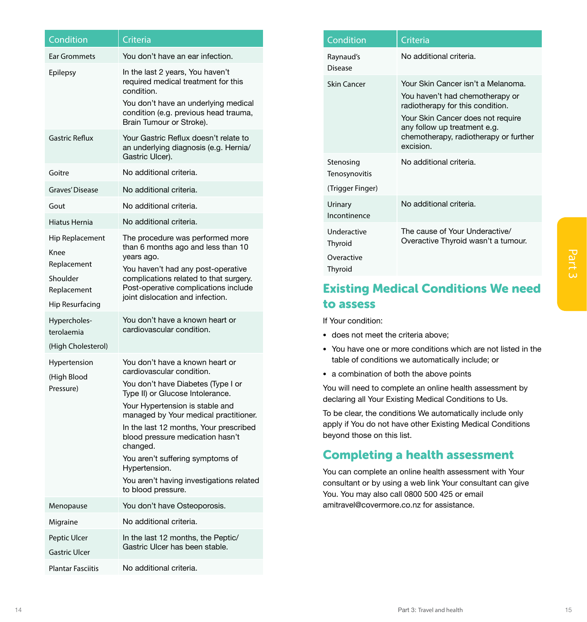<span id="page-11-0"></span>

| Condition                                                                                                                                              | Criteria                                                                                                                                                                                           | Condition                                                                                                               | Criteria                                                                                                                                                                       |
|--------------------------------------------------------------------------------------------------------------------------------------------------------|----------------------------------------------------------------------------------------------------------------------------------------------------------------------------------------------------|-------------------------------------------------------------------------------------------------------------------------|--------------------------------------------------------------------------------------------------------------------------------------------------------------------------------|
| <b>Ear Grommets</b>                                                                                                                                    | You don't have an ear infection.                                                                                                                                                                   | Raynaud's<br><b>Disease</b>                                                                                             | No additional criteria.                                                                                                                                                        |
| Epilepsy                                                                                                                                               | In the last 2 years, You haven't<br>required medical treatment for this<br>condition.<br>You don't have an underlying medical<br>condition (e.g. previous head trauma,<br>Brain Tumour or Stroke). | <b>Skin Cancer</b>                                                                                                      | Your Skin Cancer isn't a Melanoma.<br>You haven't had chemotherapy or<br>radiotherapy for this condition.<br>Your Skin Cancer does not require<br>any follow up treatment e.g. |
| <b>Gastric Reflux</b>                                                                                                                                  | Your Gastric Reflux doesn't relate to<br>an underlying diagnosis (e.g. Hernia/<br>Gastric Ulcer).                                                                                                  |                                                                                                                         | chemotherapy, radiotherapy or further<br>excision.                                                                                                                             |
| Goitre                                                                                                                                                 | No additional criteria.                                                                                                                                                                            | Stenosing<br>Tenosynovitis                                                                                              | No additional criteria.                                                                                                                                                        |
| Graves' Disease                                                                                                                                        | No additional criteria.                                                                                                                                                                            | (Trigger Finger)                                                                                                        |                                                                                                                                                                                |
| Gout                                                                                                                                                   | No additional criteria.                                                                                                                                                                            | Urinary                                                                                                                 | No additional criteria.                                                                                                                                                        |
| Hiatus Hernia                                                                                                                                          | No additional criteria.                                                                                                                                                                            | Incontinence                                                                                                            |                                                                                                                                                                                |
| Hip Replacement<br>Knee<br>Replacement                                                                                                                 | The procedure was performed more<br>than 6 months ago and less than 10<br>years ago.<br>You haven't had any post-operative                                                                         | Underactive<br>Thyroid<br>Overactive<br>Thyroid                                                                         | The cause of Your Underactive/<br>Overactive Thyroid wasn't a tumour.                                                                                                          |
| Shoulder<br>Replacement                                                                                                                                | complications related to that surgery.<br>Post-operative complications include<br>joint dislocation and infection.                                                                                 |                                                                                                                         | <b>Existing Medical Conditions We need</b>                                                                                                                                     |
| Hip Resurfacing                                                                                                                                        |                                                                                                                                                                                                    | to assess                                                                                                               |                                                                                                                                                                                |
| Hypercholes-<br>terolaemia                                                                                                                             | You don't have a known heart or<br>cardiovascular condition.                                                                                                                                       | If Your condition:                                                                                                      |                                                                                                                                                                                |
| (High Cholesterol)                                                                                                                                     |                                                                                                                                                                                                    | • does not meet the criteria above;                                                                                     | • You have one or more conditions which are not listed in the                                                                                                                  |
| Hypertension                                                                                                                                           | You don't have a known heart or                                                                                                                                                                    |                                                                                                                         | table of conditions we automatically include; or                                                                                                                               |
| (High Blood                                                                                                                                            | cardiovascular condition.                                                                                                                                                                          |                                                                                                                         | • a combination of both the above points                                                                                                                                       |
| Pressure)                                                                                                                                              | You don't have Diabetes (Type I or<br>Type II) or Glucose Intolerance.                                                                                                                             | You will need to complete an online health assessment by<br>declaring all Your Existing Medical Conditions to Us.       |                                                                                                                                                                                |
| Your Hypertension is stable and<br>managed by Your medical practitioner.<br>In the last 12 months, Your prescribed<br>blood pressure medication hasn't | beyond those on this list.                                                                                                                                                                         | To be clear, the conditions We automatically include only<br>apply if You do not have other Existing Medical Conditions |                                                                                                                                                                                |
|                                                                                                                                                        | changed.<br>You aren't suffering symptoms of                                                                                                                                                       | <b>Completing a health assessment</b>                                                                                   |                                                                                                                                                                                |
|                                                                                                                                                        | Hypertension.<br>You aren't having investigations related                                                                                                                                          |                                                                                                                         | You can complete an online health assessment with Your                                                                                                                         |
|                                                                                                                                                        | to blood pressure.                                                                                                                                                                                 |                                                                                                                         | consultant or by using a web link Your consultant can give<br>You. You may also call 0800 500 425 or email                                                                     |
| Menopause                                                                                                                                              | You don't have Osteoporosis.                                                                                                                                                                       | amitravel@covermore.co.nz for assistance.                                                                               |                                                                                                                                                                                |
| Migraine                                                                                                                                               | No additional criteria.                                                                                                                                                                            |                                                                                                                         |                                                                                                                                                                                |
| Peptic Ulcer<br><b>Gastric Ulcer</b>                                                                                                                   | In the last 12 months, the Peptic/<br>Gastric Ulcer has been stable.                                                                                                                               |                                                                                                                         |                                                                                                                                                                                |
| <b>Plantar Fasciitis</b>                                                                                                                               | No additional criteria.                                                                                                                                                                            |                                                                                                                         |                                                                                                                                                                                |

| Condition                                       | Criteria                                                                                                                                                                                                                             |
|-------------------------------------------------|--------------------------------------------------------------------------------------------------------------------------------------------------------------------------------------------------------------------------------------|
| Raynaud's<br>Disease                            | No additional criteria.                                                                                                                                                                                                              |
| Skin Cancer                                     | Your Skin Cancer isn't a Melanoma.<br>You haven't had chemotherapy or<br>radiotherapy for this condition.<br>Your Skin Cancer does not require<br>any follow up treatment e.g.<br>chemotherapy, radiotherapy or further<br>excision. |
| Stenosing<br>Tenosynovitis<br>(Trigger Finger)  | No additional criteria.                                                                                                                                                                                                              |
| Urinary<br>Incontinence                         | No additional criteria.                                                                                                                                                                                                              |
| Underactive<br>Thyroid<br>Overactive<br>Thyroid | The cause of Your Underactive/<br>Overactive Thyroid wasn't a tumour.                                                                                                                                                                |

## Existing Medical Conditions We need to assess

- does not meet the criteria above;
- You have one or more conditions which are not listed in the table of conditions we automatically include; or
- a combination of both the above points

## Completing a health assessment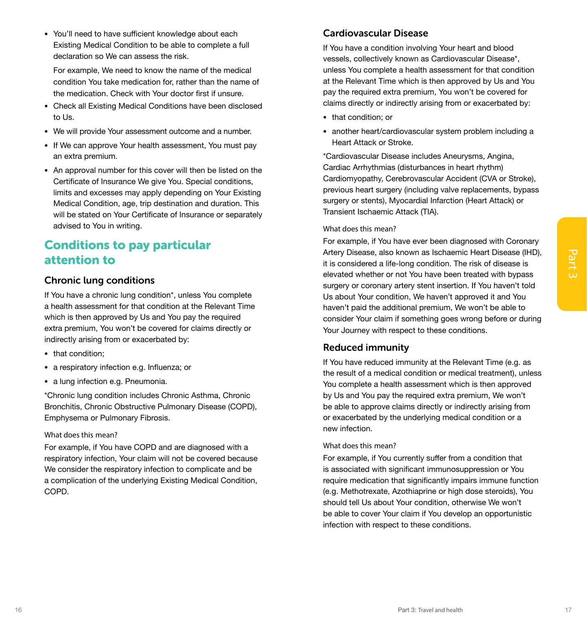<span id="page-12-0"></span>• You'll need to have sufficient knowledge about each Existing Medical Condition to be able to complete a full declaration so We can assess the risk.

For example, We need to know the name of the medical condition You take medication for, rather than the name of the medication. Check with Your doctor first if unsure.

- Check all Existing Medical Conditions have been disclosed to Us.
- We will provide Your assessment outcome and a number.
- If We can approve Your health assessment, You must pay an extra premium.
- An approval number for this cover will then be listed on the Certificate of Insurance We give You. Special conditions, limits and excesses may apply depending on Your Existing Medical Condition, age, trip destination and duration. This will be stated on Your Certificate of Insurance or separately advised to You in writing.

## Conditions to pay particular attention to

### Chronic lung conditions

If You have a chronic lung condition\*, unless You complete a health assessment for that condition at the Relevant Time which is then approved by Us and You pay the required extra premium, You won't be covered for claims directly or indirectly arising from or exacerbated by:

- that condition:
- a respiratory infection e.g. Influenza; or
- a lung infection e.g. Pneumonia.

\*Chronic lung condition includes Chronic Asthma, Chronic Bronchitis, Chronic Obstructive Pulmonary Disease (COPD), Emphysema or Pulmonary Fibrosis.

### What does this mean?

For example, if You have COPD and are diagnosed with a respiratory infection, Your claim will not be covered because We consider the respiratory infection to complicate and be a complication of the underlying Existing Medical Condition, COPD.

### Cardiovascular Disease

If You have a condition involving Your heart and blood vessels, collectively known as Cardiovascular Disease\*, unless You complete a health assessment for that condition at the Relevant Time which is then approved by Us and You pay the required extra premium, You won't be covered for claims directly or indirectly arising from or exacerbated by:

- that condition; or
- another heart/cardiovascular system problem including a Heart Attack or Stroke.

\*Cardiovascular Disease includes Aneurysms, Angina, Cardiac Arrhythmias (disturbances in heart rhythm) Cardiomyopathy, Cerebrovascular Accident (CVA or Stroke), previous heart surgery (including valve replacements, bypass surgery or stents), Myocardial Infarction (Heart Attack) or Transient Ischaemic Attack (TIA).

### What does this mean?

attention to the conditions and leaders are been been there in the three conditions and intervention in the conditions of the conditions of the conditions of the conditions of the conditions in the conditions are continued For example, if You have ever been diagnosed with Coronary Artery Disease, also known as Ischaemic Heart Disease (IHD), it is considered a life-long condition. The risk of disease is elevated whether or not You have been treated with bypass surgery or coronary artery stent insertion. If You haven't told Us about Your condition, We haven't approved it and You haven't paid the additional premium, We won't be able to consider Your claim if something goes wrong before or during Your Journey with respect to these conditions.

### Reduced immunity

If You have reduced immunity at the Relevant Time (e.g. as the result of a medical condition or medical treatment), unless You complete a health assessment which is then approved by Us and You pay the required extra premium, We won't be able to approve claims directly or indirectly arising from or exacerbated by the underlying medical condition or a new infection.

### What does this mean?

For example, if You currently suffer from a condition that is associated with significant immunosuppression or You require medication that significantly impairs immune function (e.g. Methotrexate, Azothiaprine or high dose steroids), You should tell Us about Your condition, otherwise We won't be able to cover Your claim if You develop an opportunistic infection with respect to these conditions.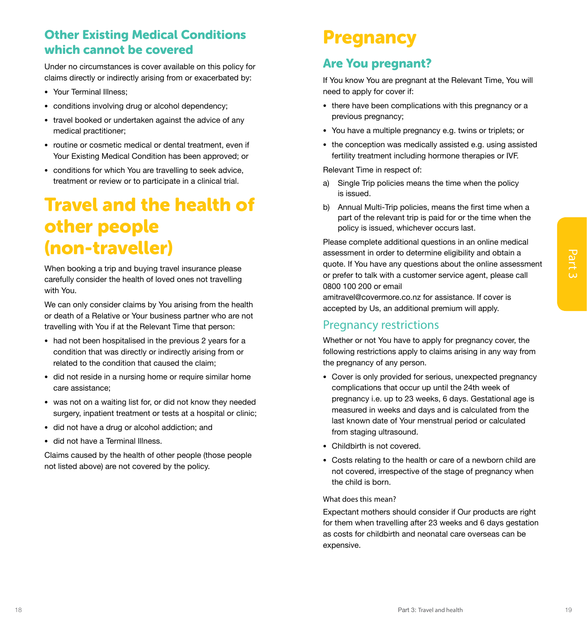## <span id="page-13-0"></span>Other Existing Medical Conditions which cannot be covered

Under no circumstances is cover available on this policy for claims directly or indirectly arising from or exacerbated by:

- Your Terminal Illness;
- conditions involving drug or alcohol dependency;
- travel booked or undertaken against the advice of any medical practitioner;
- routine or cosmetic medical or dental treatment, even if Your Existing Medical Condition has been approved; or
- conditions for which You are travelling to seek advice, treatment or review or to participate in a clinical trial.

## Travel and the health of other people (non-traveller)

When booking a trip and buying travel insurance please carefully consider the health of loved ones not travelling with You.

We can only consider claims by You arising from the health or death of a Relative or Your business partner who are not travelling with You if at the Relevant Time that person:

- had not been hospitalised in the previous 2 years for a condition that was directly or indirectly arising from or related to the condition that caused the claim;
- did not reside in a nursing home or require similar home care assistance;
- was not on a waiting list for, or did not know they needed surgery, inpatient treatment or tests at a hospital or clinic;
- did not have a drug or alcohol addiction; and
- did not have a Terminal Illness.

Claims caused by the health of other people (those people not listed above) are not covered by the policy.

## **Pregnancy**

## Are You pregnant?

If You know You are pregnant at the Relevant Time, You will need to apply for cover if:

- there have been complications with this pregnancy or a previous pregnancy;
- You have a multiple pregnancy e.g. twins or triplets; or
- the conception was medically assisted e.g. using assisted fertility treatment including hormone therapies or IVF.

Relevant Time in respect of:

- a) Single Trip policies means the time when the policy is issued.
- b) Annual Multi-Trip policies, means the first time when a part of the relevant trip is paid for or the time when the policy is issued, whichever occurs last.

Please complete additional questions in an online medical assessment in order to determine eligibility and obtain a quote. If You have any questions about the online assessment or prefer to talk with a customer service agent, please call 0800 100 200 or email

amitravel@covermore.co.nz for assistance. If cover is accepted by Us, an additional premium will apply.

### Pregnancy restrictions

Whether or not You have to apply for pregnancy cover, the following restrictions apply to claims arising in any way from the pregnancy of any person.

- When booking a trip and buying travel learning plane assessment in oder to determine signing and column and contain and the state of the state of the state of the state of the state of the state of the state of the state o • Cover is only provided for serious, unexpected pregnancy complications that occur up until the 24th week of pregnancy i.e. up to 23 weeks, 6 days. Gestational age is measured in weeks and days and is calculated from the last known date of Your menstrual period or calculated from staging ultrasound.
	- Childbirth is not covered.
	- Costs relating to the health or care of a newborn child are not covered, irrespective of the stage of pregnancy when the child is born.

#### What does this mean?

Expectant mothers should consider if Our products are right for them when travelling after 23 weeks and 6 days gestation as costs for childbirth and neonatal care overseas can be expensive.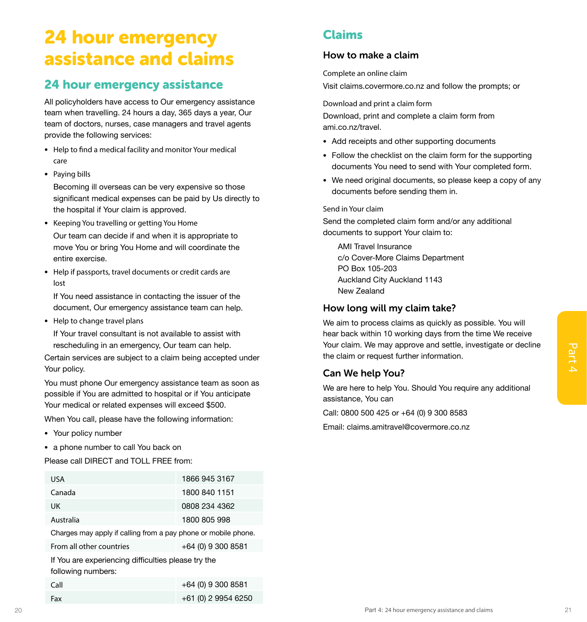## <span id="page-14-0"></span>24 hour emergency assistance and claims

## 24 hour emergency assistance

All policyholders have access to Our emergency assistance team when travelling. 24 hours a day, 365 days a year, Our team of doctors, nurses, case managers and travel agents provide the following services:

- Help to find a medical facility and monitor Your medical care
- Paying bills

Becoming ill overseas can be very expensive so those significant medical expenses can be paid by Us directly to the hospital if Your claim is approved.

- Keeping You travelling or getting You Home Our team can decide if and when it is appropriate to move You or bring You Home and will coordinate the entire exercise.
- Help if passports, travel documents or credit cards are lost

If You need assistance in contacting the issuer of the document, Our emergency assistance team can help.

• Help to change travel plans

If Your travel consultant is not available to assist with rescheduling in an emergency, Our team can help.

- Your policy number
- a phone number to call You back on

| rescheduling in an emergency, Our team can help.                                                                                                                                |                      | Your claim. We may approve and settle, investigate or decline                     |
|---------------------------------------------------------------------------------------------------------------------------------------------------------------------------------|----------------------|-----------------------------------------------------------------------------------|
| Certain services are subject to a claim being accepted under<br>Your policy.                                                                                                    |                      | the claim or request further information.                                         |
|                                                                                                                                                                                 |                      | Can We help You?                                                                  |
| You must phone Our emergency assistance team as soon as<br>possible if You are admitted to hospital or if You anticipate<br>Your medical or related expenses will exceed \$500. |                      | We are here to help You. Should You require any additional<br>assistance, You can |
| When You call, please have the following information:                                                                                                                           |                      | Call: 0800 500 425 or +64 (0) 9 300 8583                                          |
| • Your policy number                                                                                                                                                            |                      | Email: claims.amitravel@covermore.co.nz                                           |
| • a phone number to call You back on<br>Please call DIRECT and TOLL FREE from:                                                                                                  |                      |                                                                                   |
| <b>USA</b>                                                                                                                                                                      | 1866 945 3167        |                                                                                   |
| Canada                                                                                                                                                                          | 1800 840 1151        |                                                                                   |
| <b>UK</b>                                                                                                                                                                       | 0808 234 4362        |                                                                                   |
| Australia                                                                                                                                                                       | 1800 805 998         |                                                                                   |
| Charges may apply if calling from a pay phone or mobile phone.                                                                                                                  |                      |                                                                                   |
| From all other countries                                                                                                                                                        | $+64$ (0) 9 300 8581 |                                                                                   |
| If You are experiencing difficulties please try the<br>following numbers:                                                                                                       |                      |                                                                                   |
| Call                                                                                                                                                                            | +64 (0) 9 300 8581   |                                                                                   |
| Fax                                                                                                                                                                             | +61 (0) 2 9954 6250  |                                                                                   |
|                                                                                                                                                                                 |                      | Part 4: 24 hour emergency assistance and claims                                   |

## Claims

### How to make a claim

Complete an online claim Visit claims.covermore.co.nz and follow the prompts; or

#### Download and print a claim form

Download, print and complete a claim form from ami.co.nz/travel.

- Add receipts and other supporting documents
- Follow the checklist on the claim form for the supporting documents You need to send with Your completed form.
- We need original documents, so please keep a copy of any documents before sending them in.

Send in Your claim

Send the completed claim form and/or any additional documents to support Your claim to:

AMI Travel Insurance c/o Cover-More Claims Department PO Box 105-203 Auckland City Auckland 1143 New Zealand

### How long will my claim take?

We aim to process claims as quickly as possible. You will hear back within 10 working days from the time We receive Your claim. We may approve and settle, investigate or decline the claim or request further information.

### Can We help You?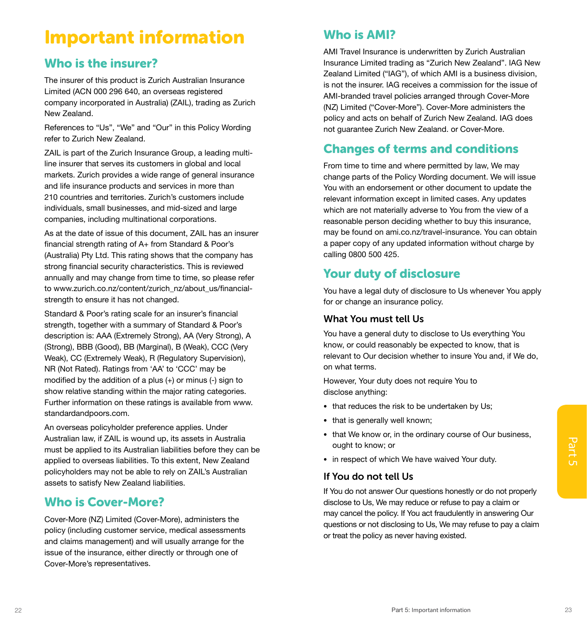## Important information

## Who is the insurer?

The insurer of this product is Zurich Australian Insurance Limited (ACN 000 296 640, an overseas registered company incorporated in Australia) (ZAIL), trading as Zurich New Zealand.

References to "Us", "We" and "Our" in this Policy Wording refer to Zurich New Zealand.

ZAIL is part of the Zurich Insurance Group, a leading multiline insurer that serves its customers in global and local markets. Zurich provides a wide range of general insurance and life insurance products and services in more than 210 countries and territories. Zurich's customers include individuals, small businesses, and mid-sized and large companies, including multinational corporations.

As at the date of issue of this document, ZAIL has an insurer financial strength rating of A+ from Standard & Poor's (Australia) Pty Ltd. This rating shows that the company has strong financial security characteristics. This is reviewed annually and may change from time to time, so please refer to www.zurich.co.nz/content/zurich\_nz/about\_us/financialstrength to ensure it has not changed.

Standard & Poor's rating scale for an insurer's financial strength, together with a summary of Standard & Poor's description is: AAA (Extremely Strong), AA (Very Strong), A (Strong), BBB (Good), BB (Marginal), B (Weak), CCC (Very Weak), CC (Extremely Weak), R (Regulatory Supervision), NR (Not Rated). Ratings from 'AA' to 'CCC' may be modified by the addition of a plus  $(+)$  or minus  $(-)$  sign to show relative standing within the major rating categories. Further information on these ratings is available from www. standardandpoors.com.

An overseas policyholder preference applies. Under Australian law, if ZAIL is wound up, its assets in Australia must be applied to its Australian liabilities before they can be applied to overseas liabilities. To this extent, New Zealand policyholders may not be able to rely on ZAIL's Australian assets to satisfy New Zealand liabilities.

## Who is Cover-More?

Cover-More (NZ) Limited (Cover-More), administers the policy (including customer service, medical assessments and claims management) and will usually arrange for the issue of the insurance, either directly or through one of Cover-More's representatives.

## Who is AMI?

AMI Travel Insurance is underwritten by Zurich Australian Insurance Limited trading as "Zurich New Zealand". IAG New Zealand Limited ("IAG"), of which AMI is a business division, is not the insurer. IAG receives a commission for the issue of AMI-branded travel policies arranged through Cover-More (NZ) Limited ("Cover-More"). Cover-More administers the policy and acts on behalf of Zurich New Zealand. IAG does not guarantee Zurich New Zealand. or Cover-More.

## Changes of terms and conditions

From time to time and where permitted by law, We may change parts of the Policy Wording document. We will issue You with an endorsement or other document to update the relevant information except in limited cases. Any updates which are not materially adverse to You from the view of a reasonable person deciding whether to buy this insurance, may be found on ami.co.nz/travel-insurance. You can obtain a paper copy of any updated information without charge by calling 0800 500 425.

## Your duty of disclosure

You have a legal duty of disclosure to Us whenever You apply for or change an insurance policy.

### What You must tell Us

You have a general duty to disclose to Us everything You know, or could reasonably be expected to know, that is relevant to Our decision whether to insure You and, if We do, on what terms.

However, Your duty does not require You to disclose anything:

- that reduces the risk to be undertaken by Us:
- that is generally well known;
- that We know or, in the ordinary course of Our business, ought to know; or
- in respect of which We have waived Your duty.

### If You do not tell Us

Australian, in ZAIL is Womb up, its assess in Australian individues before they can be applied to coverseas liabilities. To this extent, New Zealand<br>
applied to coverseas liabilities. To this extent, New Zealand<br>
policyhol If You do not answer Our questions honestly or do not properly disclose to Us, We may reduce or refuse to pay a claim or may cancel the policy. If You act fraudulently in answering Our questions or not disclosing to Us, We may refuse to pay a claim or treat the policy as never having existed.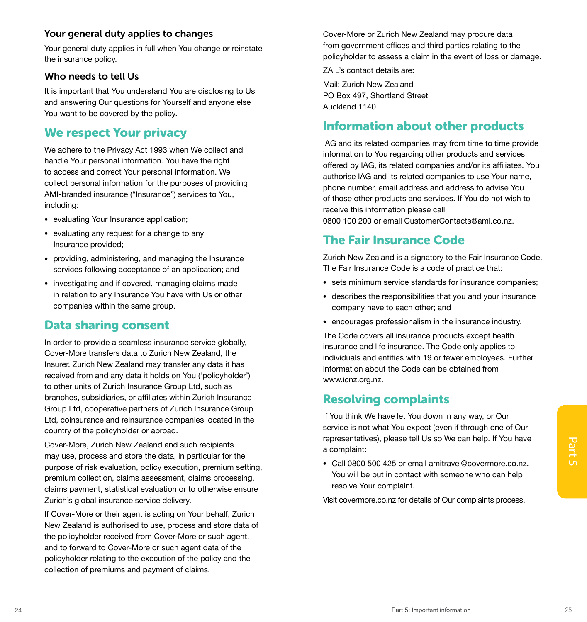### <span id="page-16-0"></span>Your general duty applies to changes

Your general duty applies in full when You change or reinstate the insurance policy.

### Who needs to tell Us

It is important that You understand You are disclosing to Us and answering Our questions for Yourself and anyone else You want to be covered by the policy.

## We respect Your privacy

We adhere to the Privacy Act 1993 when We collect and handle Your personal information. You have the right to access and correct Your personal information. We collect personal information for the purposes of providing AMI-branded insurance ("Insurance") services to You, including:

- evaluating Your Insurance application;
- evaluating any request for a change to any Insurance provided;
- providing, administering, and managing the Insurance services following acceptance of an application; and
- investigating and if covered, managing claims made in relation to any Insurance You have with Us or other companies within the same group.

## Data sharing consent

In order to provide a seamless insurance service globally, Cover-More transfers data to Zurich New Zealand, the Insurer. Zurich New Zealand may transfer any data it has received from and any data it holds on You ('policyholder') to other units of Zurich Insurance Group Ltd, such as branches, subsidiaries, or affiliates within Zurich Insurance Group Ltd, cooperative partners of Zurich Insurance Group Ltd, coinsurance and reinsurance companies located in the country of the policyholder or abroad.

Cover-More, Zurich New Zealand and such recipients<br>
may use, process and store the data, in particular for the<br>
purpose of risk evaluation, policy execution, premium setting,<br>
premium collection, claims assessment, claims Cover-More, Zurich New Zealand and such recipients may use, process and store the data, in particular for the purpose of risk evaluation, policy execution, premium setting, premium collection, claims assessment, claims processing, claims payment, statistical evaluation or to otherwise ensure Zurich's global insurance service delivery.

If Cover-More or their agent is acting on Your behalf, Zurich New Zealand is authorised to use, process and store data of the policyholder received from Cover-More or such agent, and to forward to Cover-More or such agent data of the policyholder relating to the execution of the policy and the collection of premiums and payment of claims.

Cover-More or Zurich New Zealand may procure data from government offices and third parties relating to the policyholder to assess a claim in the event of loss or damage.

ZAIL's contact details are:

Mail: Zurich New Zealand PO Box 497, Shortland Street Auckland 1140

## Information about other products

IAG and its related companies may from time to time provide information to You regarding other products and services offered by IAG, its related companies and/or its affiliates. You authorise IAG and its related companies to use Your name, phone number, email address and address to advise You of those other products and services. If You do not wish to receive this information please call 0800 100 200 or email CustomerContacts@ami.co.nz.

## The Fair Insurance Code

Zurich New Zealand is a signatory to the Fair Insurance Code. The Fair Insurance Code is a code of practice that:

- sets minimum service standards for insurance companies;
- describes the responsibilities that you and your insurance company have to each other; and
- encourages professionalism in the insurance industry.

The Code covers all insurance products except health insurance and life insurance. The Code only applies to individuals and entities with 19 or fewer employees. Further information about the Code can be obtained from www.icnz.org.nz.

### Resolving complaints

If You think We have let You down in any way, or Our service is not what You expect (even if through one of Our representatives), please tell Us so We can help. If You have a complaint:

• Call 0800 500 425 or email amitravel@covermore.co.nz. You will be put in contact with someone who can help resolve Your complaint.

Visit covermore.co.nz for details of Our complaints process.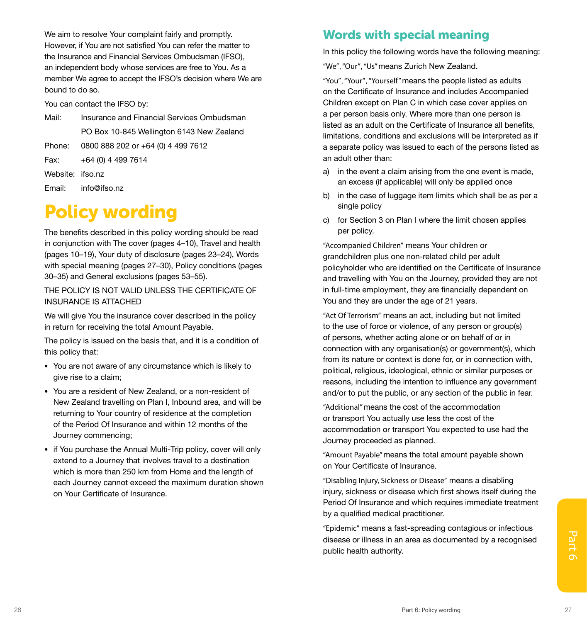We aim to resolve Your complaint fairly and promptly. However, if You are not satisfied You can refer the matter to the Insurance and Financial Services Ombudsman (IFSO), an independent body whose services are free to You. As a member We agree to accept the IFSO's decision where We are bound to do so.

You can contact the IFSO by:

Mail: Insurance and Financial Services Ombudsman PO Box 10-845 Wellington 6143 New Zealand Phone: 0800 888 202 or +64 (0) 4 499 7612

Fax: +64 (0) 4 499 7614

Website: ifso.nz

Email: info@ifso.nz

## Policy wording

The benefits described in this policy wording should be read in conjunction with The cover (pages 4–10), Travel and health (pages 10–19), Your duty of disclosure (pages 23–24), Words with special meaning (pages 27–30), Policy conditions (pages 30–35) and General exclusions (pages 53–55).

THE POLICY IS NOT VALID UNLESS THE CERTIFICATE OF INSURANCE IS ATTACHED

We will give You the insurance cover described in the policy in return for receiving the total Amount Payable.

The policy is issued on the basis that, and it is a condition of this policy that:

- You are not aware of any circumstance which is likely to give rise to a claim;
- You are a resident of New Zealand, or a non-resident of New Zealand travelling on Plan I, Inbound area, and will be returning to Your country of residence at the completion of the Period Of Insurance and within 12 months of the Journey commencing;
- if You purchase the Annual Multi-Trip policy, cover will only extend to a Journey that involves travel to a destination which is more than 250 km from Home and the length of each Journey cannot exceed the maximum duration shown on Your Certificate of Insurance.

## Words with special meaning

In this policy the following words have the following meaning:

"We", "Our", "Us" means Zurich New Zealand.

"You", "Your", "Yourself" means the people listed as adults on the Certificate of Insurance and includes Accompanied Children except on Plan C in which case cover applies on a per person basis only. Where more than one person is listed as an adult on the Certificate of Insurance all benefits, limitations, conditions and exclusions will be interpreted as if a separate policy was issued to each of the persons listed as an adult other than:

- a) in the event a claim arising from the one event is made, an excess (if applicable) will only be applied once
- b) in the case of luggage item limits which shall be as per a single policy
- c) for Section 3 on Plan I where the limit chosen applies per policy.

"Accompanied Children" means Your children or grandchildren plus one non-related child per adult policyholder who are identified on the Certificate of Insurance and travelling with You on the Journey, provided they are not in full-time employment, they are financially dependent on You and they are under the age of 21 years.

"Act Of Terrorism" means an act, including but not limited to the use of force or violence, of any person or group(s) of persons, whether acting alone or on behalf of or in connection with any organisation(s) or government(s), which from its nature or context is done for, or in connection with, political, religious, ideological, ethnic or similar purposes or reasons, including the intention to influence any government and/or to put the public, or any section of the public in fear.

"Additional" means the cost of the accommodation or transport You actually use less the cost of the accommodation or transport You expected to use had the Journey proceeded as planned.

"Amount Payable" means the total amount payable shown on Your Certificate of Insurance.

"Disabling Injury, Sickness or Disease" means a disabling injury, sickness or disease which first shows itself during the Period Of Insurance and which requires immediate treatment by a qualified medical practitioner.

disease or illness in an area as documented by a recognised<br>public health authority. "Epidemic" means a fast-spreading contagious or infectious disease or illness in an area as documented by a recognised public health authority.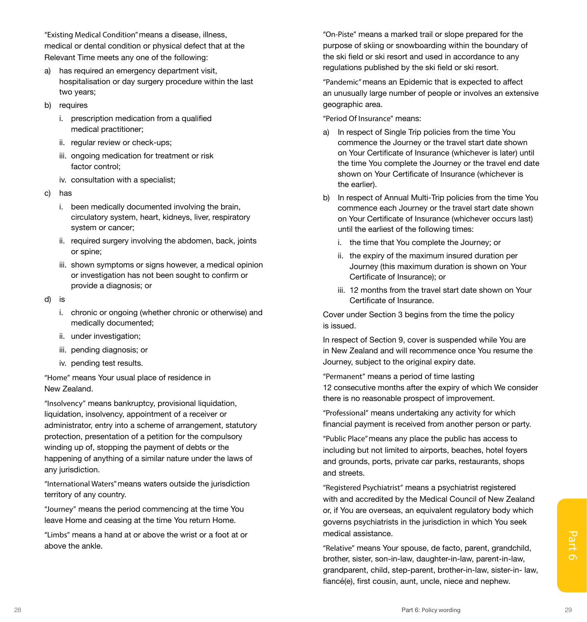"Existing Medical Condition" means a disease, illness, medical or dental condition or physical defect that at the Relevant Time meets any one of the following:

- a) has required an emergency department visit, hospitalisation or day surgery procedure within the last two years;
- b) requires
	- i. prescription medication from a qualified medical practitioner;
	- ii. regular review or check-ups;
	- iii. ongoing medication for treatment or risk factor control;
	- iv. consultation with a specialist;
- c) has
	- i. been medically documented involving the brain, circulatory system, heart, kidneys, liver, respiratory system or cancer;
	- ii. required surgery involving the abdomen, back, joints or spine;
	- iii. shown symptoms or signs however, a medical opinion or investigation has not been sought to confirm or provide a diagnosis; or
- d) is
	- i. chronic or ongoing (whether chronic or otherwise) and medically documented;
	- ii. under investigation;
	- iii. pending diagnosis; or
	- iv. pending test results.

"Home" means Your usual place of residence in New Zealand.

"Insolvency" means bankruptcy, provisional liquidation, liquidation, insolvency, appointment of a receiver or administrator, entry into a scheme of arrangement, statutory protection, presentation of a petition for the compulsory winding up of, stopping the payment of debts or the happening of anything of a similar nature under the laws of any jurisdiction.

"International Waters" means waters outside the jurisdiction territory of any country.

"Journey" means the period commencing at the time You leave Home and ceasing at the time You return Home.

"Limbs" means a hand at or above the wrist or a foot at or above the ankle.

"On-Piste" means a marked trail or slope prepared for the purpose of skiing or snowboarding within the boundary of the ski field or ski resort and used in accordance to any regulations published by the ski field or ski resort.

"Pandemic" means an Epidemic that is expected to affect an unusually large number of people or involves an extensive geographic area.

"Period Of Insurance" means:

- a) In respect of Single Trip policies from the time You commence the Journey or the travel start date shown on Your Certificate of Insurance (whichever is later) until the time You complete the Journey or the travel end date shown on Your Certificate of Insurance (whichever is the earlier).
- b) In respect of Annual Multi-Trip policies from the time You commence each Journey or the travel start date shown on Your Certificate of Insurance (whichever occurs last) until the earliest of the following times:
	- i. the time that You complete the Journey; or
	- ii. the expiry of the maximum insured duration per Journey (this maximum duration is shown on Your Certificate of Insurance); or
	- iii. 12 months from the travel start date shown on Your Certificate of Insurance.

Cover under Section 3 begins from the time the policy is issued.

In respect of Section 9, cover is suspended while You are in New Zealand and will recommence once You resume the Journey, subject to the original expiry date.

"Permanent" means a period of time lasting 12 consecutive months after the expiry of which We consider there is no reasonable prospect of improvement.

"Professional" means undertaking any activity for which financial payment is received from another person or party.

"Public Place" means any place the public has access to including but not limited to airports, beaches, hotel foyers and grounds, ports, private car parks, restaurants, shops and streets.

"Registered Psychiatrist" means a psychiatrist registered with and accredited by the Medical Council of New Zealand or, if You are overseas, an equivalent regulatory body which governs psychiatrists in the jurisdiction in which You seek medical assistance.

%"Limbs" means a hand at or above the wrist or a foot at or<br>above the ankle.<br>above the ankle.<br>discrepending the ankle.<br>above the ankle.<br>above the ankle.<br>discrepending the state, son-in-law, daughter-in-law, parent-in-law, "Relative" means Your spouse, de facto, parent, grandchild, brother, sister, son-in-law, daughter-in-law, parent-in-law, grandparent, child, step-parent, brother-in-law, sister-in- law, fiancé(e), first cousin, aunt, uncle, niece and nephew.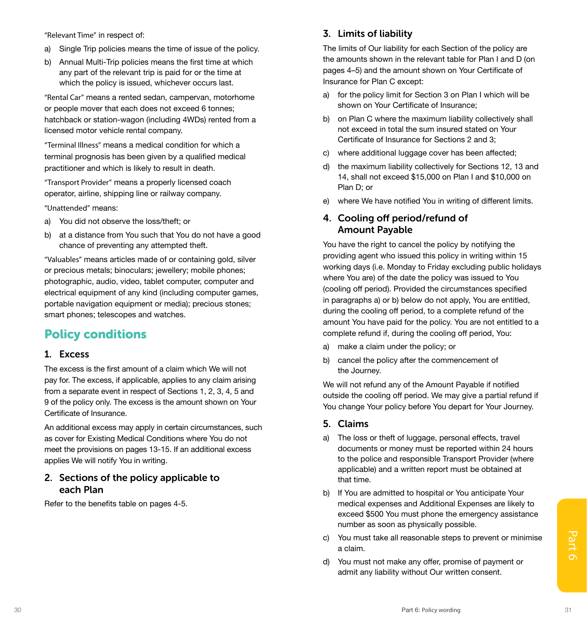"Relevant Time" in respect of:

- a) Single Trip policies means the time of issue of the policy.
- b) Annual Multi-Trip policies means the first time at which any part of the relevant trip is paid for or the time at which the policy is issued, whichever occurs last.

"Rental Car" means a rented sedan, campervan, motorhome or people mover that each does not exceed 6 tonnes; hatchback or station-wagon (including 4WDs) rented from a licensed motor vehicle rental company.

"Terminal Illness" means a medical condition for which a terminal prognosis has been given by a qualified medical practitioner and which is likely to result in death.

"Transport Provider" means a properly licensed coach operator, airline, shipping line or railway company.

"Unattended" means:

- a) You did not observe the loss/theft; or
- b) at a distance from You such that You do not have a good chance of preventing any attempted theft.

"Valuables" means articles made of or containing gold, silver or precious metals; binoculars; jewellery; mobile phones; photographic, audio, video, tablet computer, computer and electrical equipment of any kind (including computer games, portable navigation equipment or media); precious stones; smart phones; telescopes and watches.

## Policy conditions

### 1. Excess

The excess is the first amount of a claim which We will not pay for. The excess, if applicable, applies to any claim arising from a separate event in respect of Sections 1, 2, 3, 4, 5 and 9 of the policy only. The excess is the amount shown on Your Certificate of Insurance.

An additional excess may apply in certain circumstances, such as cover for Existing Medical Conditions where You do not meet the provisions on pages 13-15. If an additional excess applies We will notify You in writing.

### 2. Sections of the policy applicable to each Plan

Refer to the benefits table on pages 4-5.

### 3. Limits of liability

The limits of Our liability for each Section of the policy are the amounts shown in the relevant table for Plan I and D (on pages 4–5) and the amount shown on Your Certificate of Insurance for Plan C except:

- a) for the policy limit for Section 3 on Plan I which will be shown on Your Certificate of Insurance;
- b) on Plan C where the maximum liability collectively shall not exceed in total the sum insured stated on Your Certificate of Insurance for Sections 2 and 3;
- c) where additional luggage cover has been affected;
- d) the maximum liability collectively for Sections 12, 13 and 14, shall not exceed \$15,000 on Plan I and \$10,000 on Plan D; or
- e) where We have notified You in writing of different limits.

### 4. Cooling off period/refund of Amount Payable

You have the right to cancel the policy by notifying the providing agent who issued this policy in writing within 15 working days (i.e. Monday to Friday excluding public holidays where You are) of the date the policy was issued to You (cooling off period). Provided the circumstances specified in paragraphs a) or b) below do not apply, You are entitled, during the cooling off period, to a complete refund of the amount You have paid for the policy. You are not entitled to a complete refund if, during the cooling off period, You:

- a) make a claim under the policy; or
- b) cancel the policy after the commencement of the Journey.

We will not refund any of the Amount Payable if notified outside the cooling off period. We may give a partial refund if You change Your policy before You depart for Your Journey.

### 5. Claims

- a) The loss or theft of luggage, personal effects, travel documents or money must be reported within 24 hours to the police and responsible Transport Provider (where applicable) and a written report must be obtained at that time.
- b) If You are admitted to hospital or You anticipate Your medical expenses and Additional Expenses are likely to exceed \$500 You must phone the emergency assistance number as soon as physically possible.
- 30 Part 6: Policy wording 31 c) You must take all reasonable steps to prevent or minimise a claim.
	- d) You must not make any offer, promise of payment or admit any liability without Our written consent.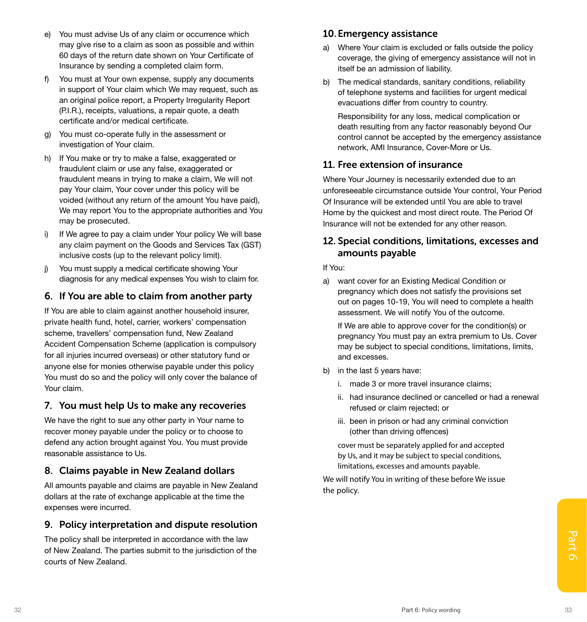- e) You must advise Us of any claim or occurrence which may give rise to a claim as soon as possible and within 60 days of the return date shown on Your Certificate of Insurance by sending a completed claim form.
- f) You must at Your own expense, supply any documents in support of Your claim which We may request, such as an original police report, a Property Irregularity Report (P.I.R.), receipts, valuations, a repair quote, a death certificate and/or medical certificate.
- g) You must co-operate fully in the assessment or investigation of Your claim.
- h) If You make or try to make a false, exaggerated or fraudulent claim or use any false, exaggerated or fraudulent means in trying to make a claim, We will not pay Your claim, Your cover under this policy will be voided (without any return of the amount You have paid), We may report You to the appropriate authorities and You may be prosecuted.
- i) If We agree to pay a claim under Your policy We will base any claim payment on the Goods and Services Tax (GST) inclusive costs (up to the relevant policy limit).
- j) You must supply a medical certificate showing Your diagnosis for any medical expenses You wish to claim for.

### 6. If You are able to claim from another party

If You are able to claim against another household insurer, private health fund, hotel, carrier, workers' compensation scheme, travellers' compensation fund, New Zealand Accident Compensation Scheme (application is compulsory for all injuries incurred overseas) or other statutory fund or anyone else for monies otherwise payable under this policy You must do so and the policy will only cover the balance of Your claim.

### 7. You must help Us to make any recoveries

We have the right to sue any other party in Your name to recover money payable under the policy or to choose to defend any action brought against You. You must provide reasonable assistance to Us.

### 8. Claims payable in New Zealand dollars

All amounts payable and claims are payable in New Zealand dollars at the rate of exchange applicable at the time the expenses were incurred.

### 9. Policy interpretation and dispute resolution

The policy shall be interpreted in accordance with the law<br>
of New Zealand. The parties submit to the jurisdiction of the<br>
courts of New Zealand.<br>
<sup>33</sup> The policy shall be interpreted in accordance with the law of New Zealand. The parties submit to the jurisdiction of the courts of New Zealand.

### 10.Emergency assistance

- a) Where Your claim is excluded or falls outside the policy coverage, the giving of emergency assistance will not in itself be an admission of liability.
- b) The medical standards, sanitary conditions, reliability of telephone systems and facilities for urgent medical evacuations differ from country to country.

Responsibility for any loss, medical complication or death resulting from any factor reasonably beyond Our control cannot be accepted by the emergency assistance network, AMI Insurance, Cover-More or Us.

### 11. Free extension of insurance

Where Your Journey is necessarily extended due to an unforeseeable circumstance outside Your control, Your Period Of Insurance will be extended until You are able to travel Home by the quickest and most direct route. The Period Of Insurance will not be extended for any other reason.

### 12. Special conditions, limitations, excesses and amounts payable

### If You:

a) want cover for an Existing Medical Condition or pregnancy which does not satisfy the provisions set out on pages 10-19, You will need to complete a health assessment. We will notify You of the outcome.

If We are able to approve cover for the condition(s) or pregnancy You must pay an extra premium to Us. Cover may be subject to special conditions, limitations, limits, and excesses.

- b) in the last 5 years have:
	- i. made 3 or more travel insurance claims;
	- ii. had insurance declined or cancelled or had a renewal refused or claim rejected; or
	- iii. been in prison or had any criminal conviction (other than driving offences)

cover must be separately applied for and accepted by Us, and it may be subject to special conditions, limitations, excesses and amounts payable.

We will notify You in writing of these before We issue the policy.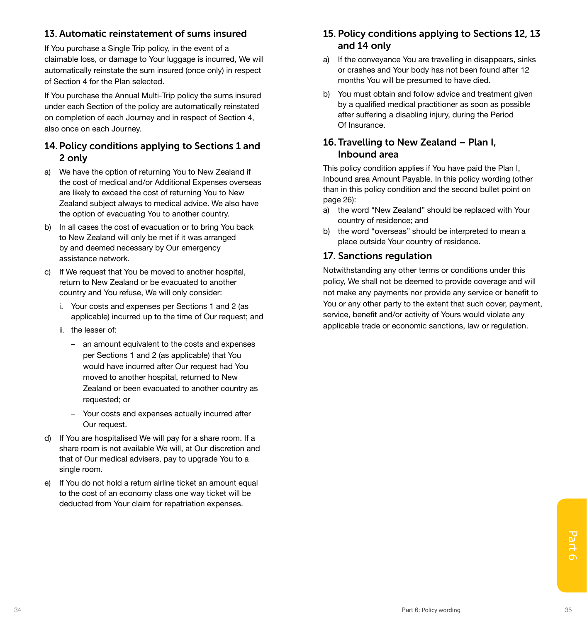### 13. Automatic reinstatement of sums insured

If You purchase a Single Trip policy, in the event of a claimable loss, or damage to Your luggage is incurred, We will automatically reinstate the sum insured (once only) in respect of Section 4 for the Plan selected.

If You purchase the Annual Multi-Trip policy the sums insured under each Section of the policy are automatically reinstated on completion of each Journey and in respect of Section 4, also once on each Journey.

### 14. Policy conditions applying to Sections 1 and 2 only

- a) We have the option of returning You to New Zealand if the cost of medical and/or Additional Expenses overseas are likely to exceed the cost of returning You to New Zealand subject always to medical advice. We also have the option of evacuating You to another country.
- b) In all cases the cost of evacuation or to bring You back to New Zealand will only be met if it was arranged by and deemed necessary by Our emergency assistance network.
- c) If We request that You be moved to another hospital, return to New Zealand or be evacuated to another country and You refuse, We will only consider:
	- i. Your costs and expenses per Sections 1 and 2 (as applicable) incurred up to the time of Our request; and
	- ii. the lesser of:
		- an amount equivalent to the costs and expenses per Sections 1 and 2 (as applicable) that You would have incurred after Our request had You moved to another hospital, returned to New Zealand or been evacuated to another country as requested; or
		- Your costs and expenses actually incurred after Our request.
- d) If You are hospitalised We will pay for a share room. If a share room is not available We will, at Our discretion and that of Our medical advisers, pay to upgrade You to a single room.
- e) If You do not hold a return airline ticket an amount equal to the cost of an economy class one way ticket will be deducted from Your claim for repatriation expenses.

### 15. Policy conditions applying to Sections 12, 13 and 14 only

- a) If the conveyance You are travelling in disappears, sinks or crashes and Your body has not been found after 12 months You will be presumed to have died.
- b) You must obtain and follow advice and treatment given by a qualified medical practitioner as soon as possible after suffering a disabling injury, during the Period Of Insurance.

### 16. Travelling to New Zealand – Plan I, Inbound area

This policy condition applies if You have paid the Plan I, Inbound area Amount Payable. In this policy wording (other than in this policy condition and the second bullet point on page 26):

- a) the word "New Zealand" should be replaced with Your country of residence; and
- b) the word "overseas" should be interpreted to mean a place outside Your country of residence.

### 17. Sanctions regulation

Notwithstanding any other terms or conditions under this policy, We shall not be deemed to provide coverage and will not make any payments nor provide any service or benefit to You or any other party to the extent that such cover, payment, service, benefit and/or activity of Yours would violate any applicable trade or economic sanctions, law or regulation.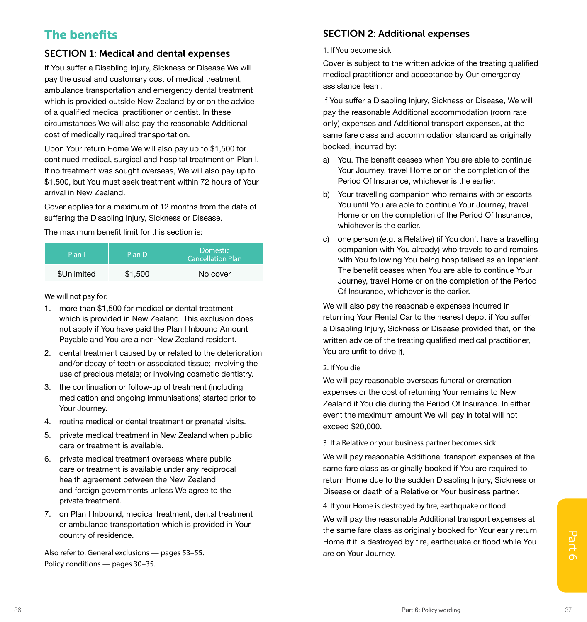## <span id="page-22-0"></span>The benefits

### SECTION 1: Medical and dental expenses

If You suffer a Disabling Injury, Sickness or Disease We will pay the usual and customary cost of medical treatment, ambulance transportation and emergency dental treatment which is provided outside New Zealand by or on the advice of a qualified medical practitioner or dentist. In these circumstances We will also pay the reasonable Additional cost of medically required transportation.

Upon Your return Home We will also pay up to \$1,500 for continued medical, surgical and hospital treatment on Plan I. If no treatment was sought overseas, We will also pay up to \$1,500, but You must seek treatment within 72 hours of Your arrival in New Zealand.

Cover applies for a maximum of 12 months from the date of suffering the Disabling Injury, Sickness or Disease.

The maximum benefit limit for this section is:

| Plan I      | Plan D  | Domestic<br><b>Cancellation Plan</b> |
|-------------|---------|--------------------------------------|
| \$Unlimited | \$1,500 | No cover                             |

We will not pay for:

- 1. more than \$1,500 for medical or dental treatment which is provided in New Zealand. This exclusion does not apply if You have paid the Plan I Inbound Amount Payable and You are a non-New Zealand resident.
- 2. dental treatment caused by or related to the deterioration and/or decay of teeth or associated tissue; involving the use of precious metals; or involving cosmetic dentistry.
- 3. the continuation or follow-up of treatment (including medication and ongoing immunisations) started prior to Your Journey.
- 4. routine medical or dental treatment or prenatal visits.
- 5. private medical treatment in New Zealand when public care or treatment is available.
- 6. private medical treatment overseas where public care or treatment is available under any reciprocal health agreement between the New Zealand and foreign governments unless We agree to the private treatment.
- 7. on Plan I Inbound, medical treatment, dental treatment or ambulance transportation which is provided in Your country of residence.

Also refer to: General exclusions — pages 53–55. Policy conditions — pages 30–35.

### SECTION 2: Additional expenses

### 1. If You become sick

Cover is subject to the written advice of the treating qualified medical practitioner and acceptance by Our emergency assistance team.

If You suffer a Disabling Injury, Sickness or Disease, We will pay the reasonable Additional accommodation (room rate only) expenses and Additional transport expenses, at the same fare class and accommodation standard as originally booked, incurred by:

- a) You. The benefit ceases when You are able to continue Your Journey, travel Home or on the completion of the Period Of Insurance, whichever is the earlier.
- b) Your travelling companion who remains with or escorts You until You are able to continue Your Journey, travel Home or on the completion of the Period Of Insurance, whichever is the earlier.
- c) one person (e.g. a Relative) (if You don't have a travelling companion with You already) who travels to and remains with You following You being hospitalised as an inpatient. The benefit ceases when You are able to continue Your Journey, travel Home or on the completion of the Period Of Insurance, whichever is the earlier.

We will also pay the reasonable expenses incurred in returning Your Rental Car to the nearest depot if You suffer a Disabling Injury, Sickness or Disease provided that, on the written advice of the treating qualified medical practitioner, You are unfit to drive it.

### 2. If You die

We will pay reasonable overseas funeral or cremation expenses or the cost of returning Your remains to New Zealand if You die during the Period Of Insurance. In either event the maximum amount We will pay in total will not exceed \$20,000.

3. If a Relative or your business partner becomes sick

We will pay reasonable Additional transport expenses at the same fare class as originally booked if You are required to return Home due to the sudden Disabling Injury, Sickness or Disease or death of a Relative or Your business partner.

4. If your Home is destroyed by fire, earthquake or flood

country of residence.<br>
Also refer to: General exclusions — pages 53–55.<br>
Policy conditions — pages 30–35.<br>
Part 6: Policy wording 37<br>
Part 6: Policy wording 37 We will pay the reasonable Additional transport expenses at the same fare class as originally booked for Your early return Home if it is destroyed by fire, earthquake or flood while You are on Your Journey.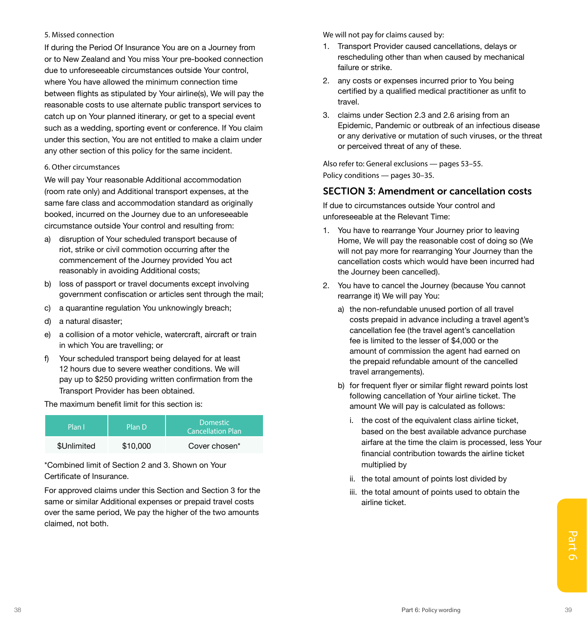#### 5. Missed connection

If during the Period Of Insurance You are on a Journey from or to New Zealand and You miss Your pre-booked connection due to unforeseeable circumstances outside Your control, where You have allowed the minimum connection time between flights as stipulated by Your airline(s), We will pay the reasonable costs to use alternate public transport services to catch up on Your planned itinerary, or get to a special event such as a wedding, sporting event or conference. If You claim under this section, You are not entitled to make a claim under any other section of this policy for the same incident.

#### 6. Other circumstances

We will pay Your reasonable Additional accommodation (room rate only) and Additional transport expenses, at the same fare class and accommodation standard as originally booked, incurred on the Journey due to an unforeseeable circumstance outside Your control and resulting from:

- a) disruption of Your scheduled transport because of riot, strike or civil commotion occurring after the commencement of the Journey provided You act reasonably in avoiding Additional costs;
- b) loss of passport or travel documents except involving government confiscation or articles sent through the mail;
- c) a quarantine regulation You unknowingly breach;
- d) a natural disaster;
- e) a collision of a motor vehicle, watercraft, aircraft or train in which You are travelling; or
- f) Your scheduled transport being delayed for at least 12 hours due to severe weather conditions. We will pay up to \$250 providing written confirmation from the Transport Provider has been obtained.

The maximum benefit limit for this section is:

| Plan I      | Plan D   | <b>Domestic</b><br><b>Cancellation Plan</b> |
|-------------|----------|---------------------------------------------|
| \$Unlimited | \$10,000 | Cover chosen*                               |

\*Combined limit of Section 2 and 3. Shown on Your Certificate of Insurance.

For approved claims under this Section and Section 3 for the same or similar Additional expenses or prepaid travel costs over the same period, We pay the higher of the two amounts claimed, not both.

We will not pay for claims caused by:

- 1. Transport Provider caused cancellations, delays or rescheduling other than when caused by mechanical failure or strike.
- 2. any costs or expenses incurred prior to You being certified by a qualified medical practitioner as unfit to travel.
- 3. claims under Section 2.3 and 2.6 arising from an Epidemic, Pandemic or outbreak of an infectious disease or any derivative or mutation of such viruses, or the threat or perceived threat of any of these.

Also refer to: General exclusions — pages 53–55. Policy conditions — pages 30–35.

### SECTION 3: Amendment or cancellation costs

If due to circumstances outside Your control and unforeseeable at the Relevant Time:

- 1. You have to rearrange Your Journey prior to leaving Home, We will pay the reasonable cost of doing so (We will not pay more for rearranging Your Journey than the cancellation costs which would have been incurred had the Journey been cancelled).
- 2. You have to cancel the Journey (because You cannot rearrange it) We will pay You:
	- a) the non-refundable unused portion of all travel costs prepaid in advance including a travel agent's cancellation fee (the travel agent's cancellation fee is limited to the lesser of \$4,000 or the amount of commission the agent had earned on the prepaid refundable amount of the cancelled travel arrangements).
	- b) for frequent flyer or similar flight reward points lost following cancellation of Your airline ticket. The amount We will pay is calculated as follows:
		- i. the cost of the equivalent class airline ticket, based on the best available advance purchase airfare at the time the claim is processed, less Your financial contribution towards the airline ticket multiplied by
		- ii. the total amount of points lost divided by
		- iii. the total amount of points used to obtain the airline ticket.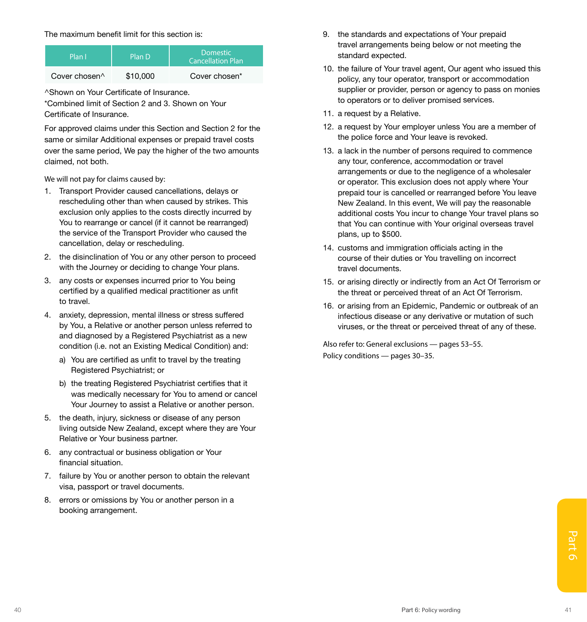The maximum benefit limit for this section is:

| Plan I                    | Plan D   | <b>Domestic</b><br><b>Cancellation Plan</b> |
|---------------------------|----------|---------------------------------------------|
| Cover chosen <sup>^</sup> | \$10,000 | Cover chosen*                               |

^Shown on Your Certificate of Insurance.

\*Combined limit of Section 2 and 3. Shown on Your Certificate of Insurance.

For approved claims under this Section and Section 2 for the same or similar Additional expenses or prepaid travel costs over the same period, We pay the higher of the two amounts claimed, not both.

We will not pay for claims caused by:

- 1. Transport Provider caused cancellations, delays or rescheduling other than when caused by strikes. This exclusion only applies to the costs directly incurred by You to rearrange or cancel (if it cannot be rearranged) the service of the Transport Provider who caused the cancellation, delay or rescheduling.
- 2. the disinclination of You or any other person to proceed with the Journey or deciding to change Your plans.
- 3. any costs or expenses incurred prior to You being certified by a qualified medical practitioner as unfit to travel.
- 4. anxiety, depression, mental illness or stress suffered by You, a Relative or another person unless referred to and diagnosed by a Registered Psychiatrist as a new condition (i.e. not an Existing Medical Condition) and:
	- a) You are certified as unfit to travel by the treating Registered Psychiatrist; or
	- b) the treating Registered Psychiatrist certifies that it was medically necessary for You to amend or cancel Your Journey to assist a Relative or another person.
- 5. the death, injury, sickness or disease of any person living outside New Zealand, except where they are Your Relative or Your business partner.
- 6. any contractual or business obligation or Your financial situation.
- 7. failure by You or another person to obtain the relevant visa, passport or travel documents.
- 8. errors or omissions by You or another person in a booking arrangement.
- 9. the standards and expectations of Your prepaid travel arrangements being below or not meeting the standard expected.
- 10. the failure of Your travel agent, Our agent who issued this policy, any tour operator, transport or accommodation supplier or provider, person or agency to pass on monies to operators or to deliver promised services.
- 11. a request by a Relative.
- 12. a request by Your employer unless You are a member of the police force and Your leave is revoked.
- 13. a lack in the number of persons required to commence any tour, conference, accommodation or travel arrangements or due to the negligence of a wholesaler or operator. This exclusion does not apply where Your prepaid tour is cancelled or rearranged before You leave New Zealand. In this event, We will pay the reasonable additional costs You incur to change Your travel plans so that You can continue with Your original overseas travel plans, up to \$500.
- 14. customs and immigration officials acting in the course of their duties or You travelling on incorrect travel documents.
- 15. or arising directly or indirectly from an Act Of Terrorism or the threat or perceived threat of an Act Of Terrorism.
- 16. or arising from an Epidemic, Pandemic or outbreak of an infectious disease or any derivative or mutation of such viruses, or the threat or perceived threat of any of these.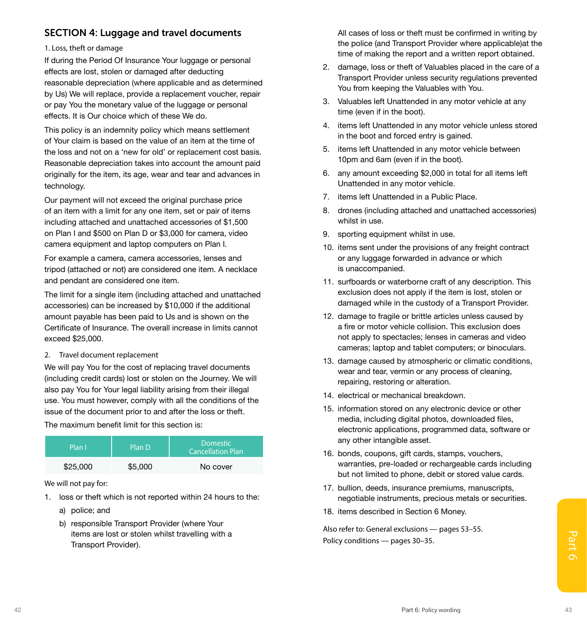### SECTION 4: Luggage and travel documents

#### 1. Loss, theft or damage

If during the Period Of Insurance Your luggage or personal effects are lost, stolen or damaged after deducting reasonable depreciation (where applicable and as determined by Us) We will replace, provide a replacement voucher, repair or pay You the monetary value of the luggage or personal effects. It is Our choice which of these We do.

This policy is an indemnity policy which means settlement of Your claim is based on the value of an item at the time of the loss and not on a 'new for old' or replacement cost basis. Reasonable depreciation takes into account the amount paid originally for the item, its age, wear and tear and advances in technology.

Our payment will not exceed the original purchase price of an item with a limit for any one item, set or pair of items including attached and unattached accessories of \$1,500 on Plan I and \$500 on Plan D or \$3,000 for camera, video camera equipment and laptop computers on Plan I.

For example a camera, camera accessories, lenses and tripod (attached or not) are considered one item. A necklace and pendant are considered one item.

The limit for a single item (including attached and unattached accessories) can be increased by \$10,000 if the additional amount payable has been paid to Us and is shown on the Certificate of Insurance. The overall increase in limits cannot exceed \$25,000.

2. Travel document replacement

We will pay You for the cost of replacing travel documents (including credit cards) lost or stolen on the Journey. We will also pay You for Your legal liability arising from their illegal use. You must however, comply with all the conditions of the issue of the document prior to and after the loss or theft.

The maximum benefit limit for this section is:

| Plan I   | Plan D  | <b>Domestic</b><br><b>Cancellation Plan</b> |
|----------|---------|---------------------------------------------|
| \$25,000 | \$5,000 | No cover                                    |

We will not pay for:

- 1. loss or theft which is not reported within 24 hours to the:
	- a) police; and
- tems are lost or stolen whilst travelling with a<br>
Transport Provider).<br>
Policy conditions pages 30–35.<br>
Part 6: Policy wording<br>
Part 6: Policy wording b) responsible Transport Provider (where Your items are lost or stolen whilst travelling with a Transport Provider).

All cases of loss or theft must be confirmed in writing by the police (and Transport Provider where applicable)at the time of making the report and a written report obtained.

- 2. damage, loss or theft of Valuables placed in the care of a Transport Provider unless security regulations prevented You from keeping the Valuables with You.
- 3. Valuables left Unattended in any motor vehicle at any time (even if in the boot).
- 4. items left Unattended in any motor vehicle unless stored in the boot and forced entry is gained.
- 5. items left Unattended in any motor vehicle between 10pm and 6am (even if in the boot).
- 6. any amount exceeding \$2,000 in total for all items left Unattended in any motor vehicle.
- 7. items left Unattended in a Public Place.
- 8. drones (including attached and unattached accessories) whilst in use.
- 9. sporting equipment whilst in use.
- 10. items sent under the provisions of any freight contract or any luggage forwarded in advance or which is unaccompanied.
- 11. surfboards or waterborne craft of any description. This exclusion does not apply if the item is lost, stolen or damaged while in the custody of a Transport Provider.
- 12. damage to fragile or brittle articles unless caused by a fire or motor vehicle collision. This exclusion does not apply to spectacles; lenses in cameras and video cameras; laptop and tablet computers; or binoculars.
- 13. damage caused by atmospheric or climatic conditions, wear and tear, vermin or any process of cleaning, repairing, restoring or alteration.
- 14. electrical or mechanical breakdown.
- 15. information stored on any electronic device or other media, including digital photos, downloaded files, electronic applications, programmed data, software or any other intangible asset.
- 16. bonds, coupons, gift cards, stamps, vouchers, warranties, pre-loaded or rechargeable cards including but not limited to phone, debit or stored value cards.
- 17. bullion, deeds, insurance premiums, manuscripts, negotiable instruments, precious metals or securities.
- 18. items described in Section 6 Money.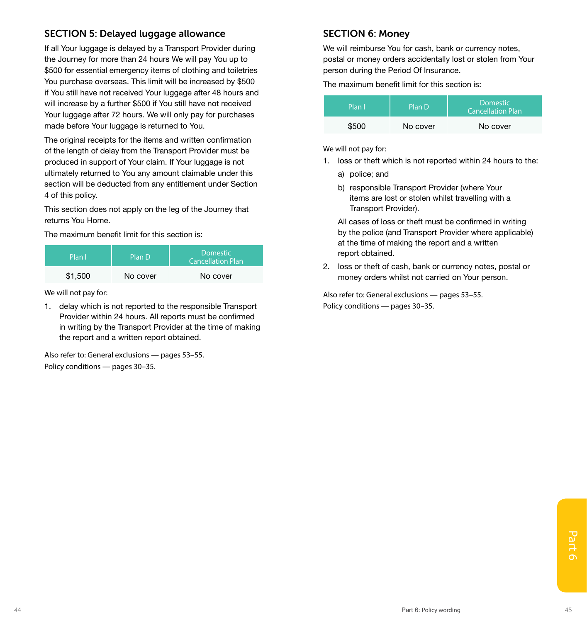### SECTION 5: Delayed luggage allowance

If all Your luggage is delayed by a Transport Provider during the Journey for more than 24 hours We will pay You up to \$500 for essential emergency items of clothing and toiletries You purchase overseas. This limit will be increased by \$500 if You still have not received Your luggage after 48 hours and will increase by a further \$500 if You still have not received Your luggage after 72 hours. We will only pay for purchases made before Your luggage is returned to You.

The original receipts for the items and written confirmation of the length of delay from the Transport Provider must be produced in support of Your claim. If Your luggage is not ultimately returned to You any amount claimable under this section will be deducted from any entitlement under Section 4 of this policy.

This section does not apply on the leg of the Journey that returns You Home.

The maximum benefit limit for this section is:

| Plan I  | Plan D   | <b>Domestic</b><br><b>Cancellation Plan</b> |
|---------|----------|---------------------------------------------|
| \$1,500 | No cover | No cover                                    |

We will not pay for:

1. delay which is not reported to the responsible Transport Provider within 24 hours. All reports must be confirmed in writing by the Transport Provider at the time of making the report and a written report obtained.

Also refer to: General exclusions — pages 53–55. Policy conditions — pages 30–35.

### SECTION 6: Money

We will reimburse You for cash, bank or currency notes, postal or money orders accidentally lost or stolen from Your person during the Period Of Insurance.

The maximum benefit limit for this section is:

| Plan l' | Plan D   | Domestic<br><b>Cancellation Plan</b> |
|---------|----------|--------------------------------------|
| \$500   | No cover | No cover                             |

We will not pay for:

- 1. loss or theft which is not reported within 24 hours to the:
	- a) police; and
	- b) responsible Transport Provider (where Your items are lost or stolen whilst travelling with a Transport Provider).

All cases of loss or theft must be confirmed in writing by the police (and Transport Provider where applicable) at the time of making the report and a written report obtained.

2. loss or theft of cash, bank or currency notes, postal or money orders whilst not carried on Your person.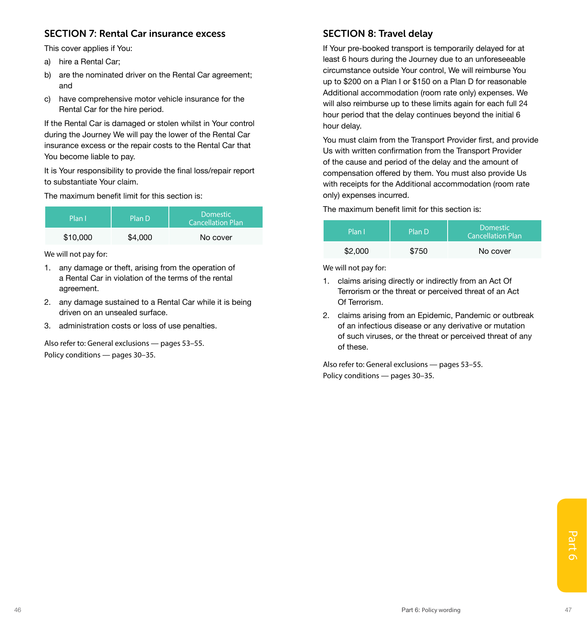### SECTION 7: Rental Car insurance excess

This cover applies if You:

- a) hire a Rental Car;
- b) are the nominated driver on the Rental Car agreement: and
- c) have comprehensive motor vehicle insurance for the Rental Car for the hire period.

If the Rental Car is damaged or stolen whilst in Your control during the Journey We will pay the lower of the Rental Car insurance excess or the repair costs to the Rental Car that You become liable to pay.

It is Your responsibility to provide the final loss/repair report to substantiate Your claim.

The maximum benefit limit for this section is:

| Plan I   | Plan D  | <b>Domestic</b><br><b>Cancellation Plan</b> |
|----------|---------|---------------------------------------------|
| \$10,000 | \$4,000 | No cover                                    |

We will not pay for:

- 1. any damage or theft, arising from the operation of a Rental Car in violation of the terms of the rental agreement.
- 2. any damage sustained to a Rental Car while it is being driven on an unsealed surface.
- 3. administration costs or loss of use penalties.

Also refer to: General exclusions — pages 53–55. Policy conditions — pages 30–35.

### SECTION 8: Travel delay

If Your pre-booked transport is temporarily delayed for at least 6 hours during the Journey due to an unforeseeable circumstance outside Your control, We will reimburse You up to \$200 on a Plan I or \$150 on a Plan D for reasonable Additional accommodation (room rate only) expenses. We will also reimburse up to these limits again for each full 24 hour period that the delay continues beyond the initial 6 hour delay.

You must claim from the Transport Provider first, and provide Us with written confirmation from the Transport Provider of the cause and period of the delay and the amount of compensation offered by them. You must also provide Us with receipts for the Additional accommodation (room rate only) expenses incurred.

The maximum benefit limit for this section is:

| Plan I  | Plan D | <b>Domestic</b><br><b>Cancellation Plan</b> |
|---------|--------|---------------------------------------------|
| \$2,000 | \$750  | No cover                                    |

We will not pay for:

- 1. claims arising directly or indirectly from an Act Of Terrorism or the threat or perceived threat of an Act Of Terrorism.
- 2. claims arising from an Epidemic, Pandemic or outbreak of an infectious disease or any derivative or mutation of such viruses, or the threat or perceived threat of any of these.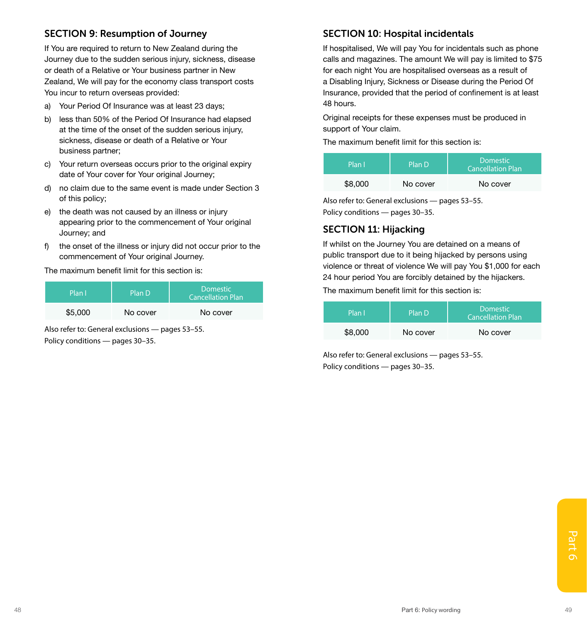### SECTION 9: Resumption of Journey

If You are required to return to New Zealand during the Journey due to the sudden serious injury, sickness, disease or death of a Relative or Your business partner in New Zealand, We will pay for the economy class transport costs You incur to return overseas provided:

- a) Your Period Of Insurance was at least 23 days;
- b) less than 50% of the Period Of Insurance had elapsed at the time of the onset of the sudden serious injury, sickness, disease or death of a Relative or Your business partner;
- c) Your return overseas occurs prior to the original expiry date of Your cover for Your original Journey;
- d) no claim due to the same event is made under Section 3 of this policy;
- e) the death was not caused by an illness or injury appearing prior to the commencement of Your original Journey; and
- f) the onset of the illness or injury did not occur prior to the commencement of Your original Journey.

The maximum benefit limit for this section is:

| Plan I  | Plan D   | <b>Domestic</b><br><b>Cancellation Plan</b> |
|---------|----------|---------------------------------------------|
| \$5,000 | No cover | No cover                                    |

Also refer to: General exclusions — pages 53–55. Policy conditions — pages 30–35.

### SECTION 10: Hospital incidentals

If hospitalised, We will pay You for incidentals such as phone calls and magazines. The amount We will pay is limited to \$75 for each night You are hospitalised overseas as a result of a Disabling Injury, Sickness or Disease during the Period Of Insurance, provided that the period of confinement is at least 48 hours.

Original receipts for these expenses must be produced in support of Your claim.

The maximum benefit limit for this section is:

| Plan I  | Plan D   | <b>Domestic</b><br><b>Cancellation Plan</b> |
|---------|----------|---------------------------------------------|
| \$8,000 | No cover | No cover                                    |

Also refer to: General exclusions — pages 53–55. Policy conditions — pages 30–35.

### SECTION 11: Hijacking

If whilst on the Journey You are detained on a means of public transport due to it being hijacked by persons using violence or threat of violence We will pay You \$1,000 for each 24 hour period You are forcibly detained by the hijackers.

The maximum benefit limit for this section is:

| Plan I  | Plan D   | <b>Domestic</b><br><b>Cancellation Plan</b> |
|---------|----------|---------------------------------------------|
| \$8,000 | No cover | No cover                                    |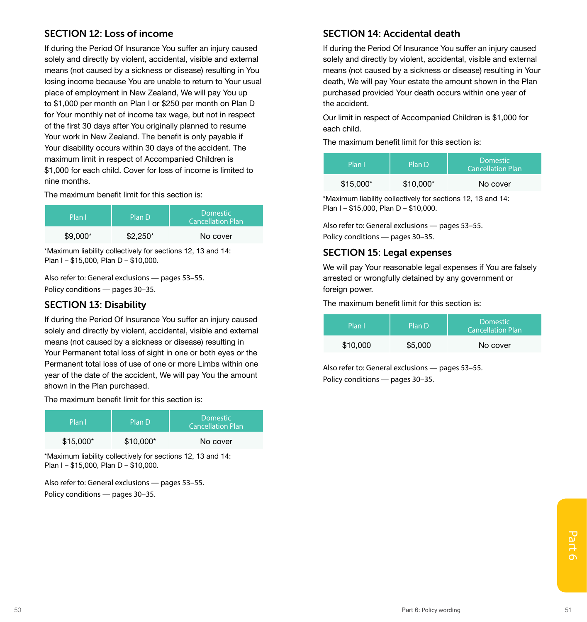### SECTION 12: Loss of income

If during the Period Of Insurance You suffer an injury caused solely and directly by violent, accidental, visible and external means (not caused by a sickness or disease) resulting in You losing income because You are unable to return to Your usual place of employment in New Zealand, We will pay You up to \$1,000 per month on Plan I or \$250 per month on Plan D for Your monthly net of income tax wage, but not in respect of the first 30 days after You originally planned to resume Your work in New Zealand. The benefit is only payable if Your disability occurs within 30 days of the accident. The maximum limit in respect of Accompanied Children is \$1,000 for each child. Cover for loss of income is limited to nine months.

The maximum benefit limit for this section is:

| Plan I    | Plan D    | <b>Domestic</b><br><b>Cancellation Plan</b> |
|-----------|-----------|---------------------------------------------|
| $$9.000*$ | $$2.250*$ | No cover                                    |

\*Maximum liability collectively for sections 12, 13 and 14: Plan I – \$15,000, Plan D – \$10,000.

Also refer to: General exclusions — pages 53–55. Policy conditions — pages 30–35.

### SECTION 13: Disability

If during the Period Of Insurance You suffer an injury caused solely and directly by violent, accidental, visible and external means (not caused by a sickness or disease) resulting in Your Permanent total loss of sight in one or both eyes or the Permanent total loss of use of one or more Limbs within one year of the date of the accident, We will pay You the amount shown in the Plan purchased.

The maximum benefit limit for this section is:

| Plan I     | Plan D     | <b>Domestic</b><br><b>Cancellation Plan</b> |
|------------|------------|---------------------------------------------|
| $$15,000*$ | $$10.000*$ | No cover                                    |

\*Maximum liability collectively for sections 12, 13 and 14: Plan I – \$15,000, Plan D – \$10,000.

Also refer to: General exclusions — pages 53–55. Policy conditions — pages 30–35.

### SECTION 14: Accidental death

If during the Period Of Insurance You suffer an injury caused solely and directly by violent, accidental, visible and external means (not caused by a sickness or disease) resulting in Your death, We will pay Your estate the amount shown in the Plan purchased provided Your death occurs within one year of the accident.

Our limit in respect of Accompanied Children is \$1,000 for each child.

The maximum benefit limit for this section is:

| Plan I     | Plan D     | <b>Domestic</b><br><b>Cancellation Plan</b> |
|------------|------------|---------------------------------------------|
| $$15.000*$ | $$10.000*$ | No cover                                    |

\*Maximum liability collectively for sections 12, 13 and 14: Plan I – \$15,000, Plan D – \$10,000.

Also refer to: General exclusions — pages 53–55. Policy conditions — pages 30–35.

### SECTION 15: Legal expenses

We will pay Your reasonable legal expenses if You are falsely arrested or wrongfully detained by any government or foreign power.

The maximum benefit limit for this section is:

| Plan l'  | Plan D  | <b>Domestic</b><br><b>Cancellation Plan</b> |
|----------|---------|---------------------------------------------|
| \$10,000 | \$5,000 | No cover                                    |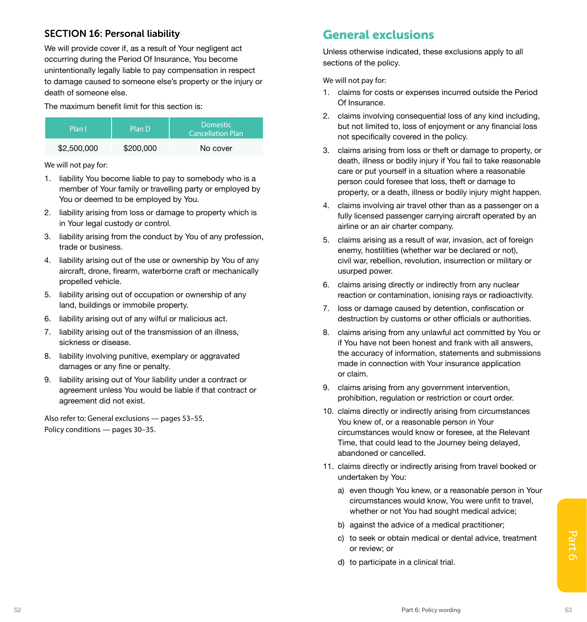### SECTION 16: Personal liability

We will provide cover if, as a result of Your negligent act occurring during the Period Of Insurance, You become unintentionally legally liable to pay compensation in respect to damage caused to someone else's property or the injury or death of someone else.

The maximum benefit limit for this section is:

| Plan I      | Plan D    | <b>Domestic</b><br><b>Cancellation Plan</b> |
|-------------|-----------|---------------------------------------------|
| \$2,500,000 | \$200,000 | No cover                                    |

We will not pay for:

- 1. liability You become liable to pay to somebody who is a member of Your family or travelling party or employed by You or deemed to be employed by You.
- 2. liability arising from loss or damage to property which is in Your legal custody or control.
- 3. liability arising from the conduct by You of any profession, trade or business.
- 4. liability arising out of the use or ownership by You of any aircraft, drone, firearm, waterborne craft or mechanically propelled vehicle.
- 5. liability arising out of occupation or ownership of any land, buildings or immobile property.
- 6. liability arising out of any wilful or malicious act.
- 7. liability arising out of the transmission of an illness, sickness or disease.
- 8. liability involving punitive, exemplary or aggravated damages or any fine or penalty.
- 9. liability arising out of Your liability under a contract or agreement unless You would be liable if that contract or agreement did not exist.

Also refer to: General exclusions — pages 53–55. Policy conditions — pages 30–35.

## General exclusions

Unless otherwise indicated, these exclusions apply to all sections of the policy.

We will not pay for:

- 1. claims for costs or expenses incurred outside the Period Of Insurance.
- 2. claims involving consequential loss of any kind including, but not limited to, loss of enjoyment or any financial loss not specifically covered in the policy.
- 3. claims arising from loss or theft or damage to property, or death, illness or bodily injury if You fail to take reasonable care or put yourself in a situation where a reasonable person could foresee that loss, theft or damage to property, or a death, illness or bodily injury might happen.
- 4. claims involving air travel other than as a passenger on a fully licensed passenger carrying aircraft operated by an airline or an air charter company.
- 5. claims arising as a result of war, invasion, act of foreign enemy, hostilities (whether war be declared or not), civil war, rebellion, revolution, insurrection or military or usurped power.
- 6. claims arising directly or indirectly from any nuclear reaction or contamination, ionising rays or radioactivity.
- 7. loss or damage caused by detention, confiscation or destruction by customs or other officials or authorities.
- 8. claims arising from any unlawful act committed by You or if You have not been honest and frank with all answers, the accuracy of information, statements and submissions made in connection with Your insurance application or claim.
- 9. claims arising from any government intervention, prohibition, regulation or restriction or court order.
- 10. claims directly or indirectly arising from circumstances You knew of, or a reasonable person in Your circumstances would know or foresee, at the Relevant Time, that could lead to the Journey being delayed, abandoned or cancelled.
- 11. claims directly or indirectly arising from travel booked or undertaken by You:
	- a) even though You knew, or a reasonable person in Your circumstances would know, You were unfit to travel, whether or not You had sought medical advice:
	- b) against the advice of a medical practitioner;
- 52 Part 6: Policy wording Sample 1 Part 6: Policy wording Sample 1 Part 6: Policy wording Sample 1 Part 6: Policy wording Sample 1 Part 6: Policy wording Sample 1 Part 6: Policy wording Sample 1 Part 6: Policy wording Samp c) to seek or obtain medical or dental advice, treatment or review; or
	- d) to participate in a clinical trial.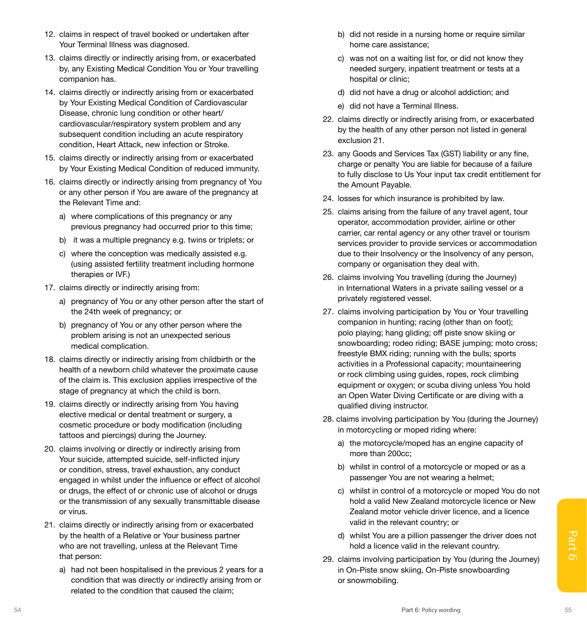- 12. claims in respect of travel booked or undertaken after Your Terminal Illness was diagnosed.
- 13. claims directly or indirectly arising from, or exacerbated by, any Existing Medical Condition You or Your travelling companion has.
- 14. claims directly or indirectly arising from or exacerbated by Your Existing Medical Condition of Cardiovascular Disease, chronic lung condition or other heart/ cardiovascular/respiratory system problem and any subsequent condition including an acute respiratory condition, Heart Attack, new infection or Stroke.
- 15. claims directly or indirectly arising from or exacerbated by Your Existing Medical Condition of reduced immunity.
- 16. claims directly or indirectly arising from pregnancy of You or any other person if You are aware of the pregnancy at the Relevant Time and:
	- a) where complications of this pregnancy or any previous pregnancy had occurred prior to this time;
	- b) it was a multiple pregnancy e.g. twins or triplets; or
	- c) where the conception was medically assisted e.g. (using assisted fertility treatment including hormone therapies or IVF.)
- 17. claims directly or indirectly arising from:
	- a) pregnancy of You or any other person after the start of the 24th week of pregnancy; or
	- b) pregnancy of You or any other person where the problem arising is not an unexpected serious medical complication.
- 18. claims directly or indirectly arising from childbirth or the health of a newborn child whatever the proximate cause of the claim is. This exclusion applies irrespective of the stage of pregnancy at which the child is born.
- 19. claims directly or indirectly arising from You having elective medical or dental treatment or surgery, a cosmetic procedure or body modification (including tattoos and piercings) during the Journey.
- 20. claims involving or directly or indirectly arising from Your suicide, attempted suicide, self-inflicted injury or condition, stress, travel exhaustion, any conduct engaged in whilst under the influence or effect of alcohol or drugs, the effect of or chronic use of alcohol or drugs or the transmission of any sexually transmittable disease or virus.
- 21. claims directly or indirectly arising from or exacerbated by the health of a Relative or Your business partner who are not travelling, unless at the Relevant Time that person:
	- a) had not been hospitalised in the previous 2 years for a condition that was directly or indirectly arising from or related to the condition that caused the claim;
- b) did not reside in a nursing home or require similar home care assistance;
- c) was not on a waiting list for, or did not know they needed surgery, inpatient treatment or tests at a hospital or clinic;
- d) did not have a drug or alcohol addiction; and
- e) did not have a Terminal Illness.
- 22. claims directly or indirectly arising from, or exacerbated by the health of any other person not listed in general exclusion 21.
- 23. any Goods and Services Tax (GST) liability or any fine, charge or penalty You are liable for because of a failure to fully disclose to Us Your input tax credit entitlement for the Amount Payable.
- 24. losses for which insurance is prohibited by law.
- 25. claims arising from the failure of any travel agent, tour operator, accommodation provider, airline or other carrier, car rental agency or any other travel or tourism services provider to provide services or accommodation due to their Insolvency or the Insolvency of any person, company or organisation they deal with.
- 26. claims involving You travelling (during the Journey) in International Waters in a private sailing vessel or a privately registered vessel.
- 27. claims involving participation by You or Your travelling companion in hunting; racing (other than on foot); polo playing; hang gliding; off piste snow skiing or snowboarding; rodeo riding; BASE jumping; moto cross; freestyle BMX riding; running with the bulls; sports activities in a Professional capacity; mountaineering or rock climbing using guides, ropes, rock climbing equipment or oxygen; or scuba diving unless You hold an Open Water Diving Certificate or are diving with a qualified diving instructor.
- 28. claims involving participation by You (during the Journey) in motorcycling or moped riding where:
	- a) the motorcycle/moped has an engine capacity of more than 200cc;
	- b) whilst in control of a motorcycle or moped or as a passenger You are not wearing a helmet;
	- c) whilst in control of a motorcycle or moped You do not hold a valid New Zealand motorcycle licence or New Zealand motor vehicle driver licence, and a licence valid in the relevant country; or
	- d) whilst You are a pillion passenger the driver does not hold a licence valid in the relevant country.
- by the health of a Relative or Your business partner who are not travelling, unless at the Relevant Time<br>
who are not travelling, unless at the Relevant Time<br>
that person:<br>
a) had not been hospitalised in the previous 2 ye 29. claims involving participation by You (during the Journey) in On-Piste snow skiing, On-Piste snowboarding or snowmobiling.